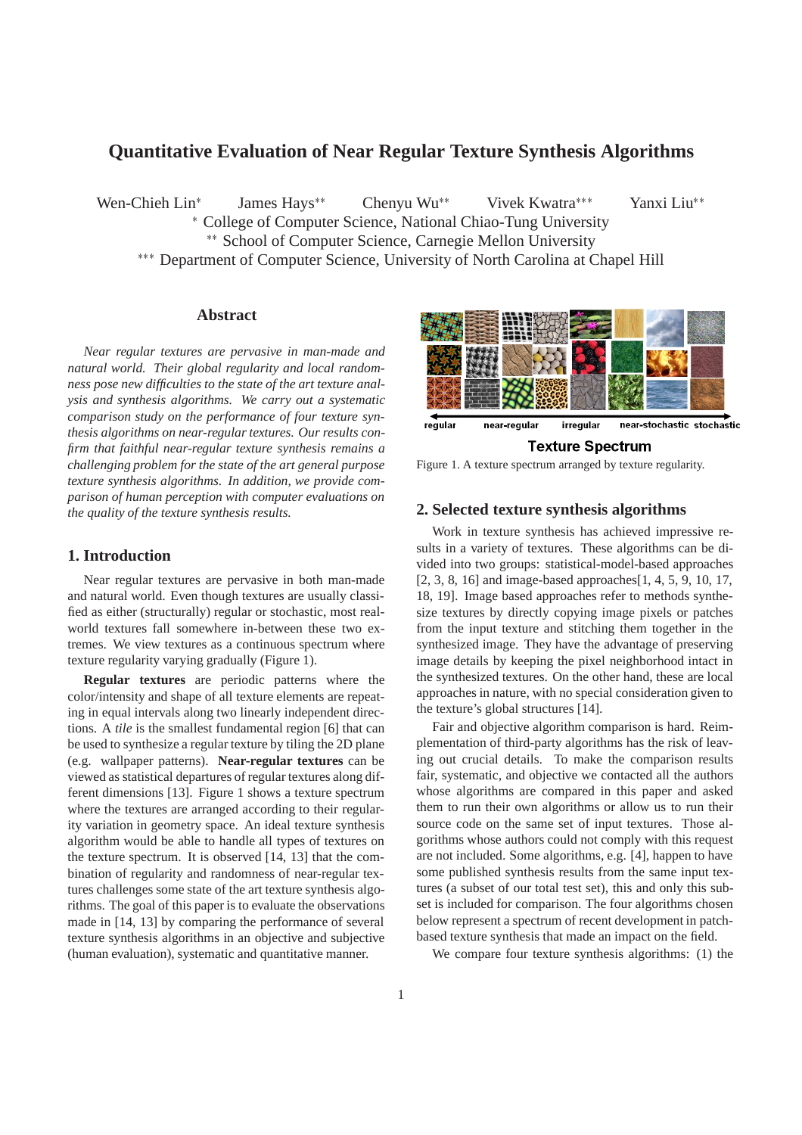# **Quantitative Evaluation of Near Regular Texture Synthesis Algorithms**

Wen-Chieh Lin<sup>\*</sup> James Hays<sup>\*\*</sup> Chenyu Wu<sup>\*\*</sup> Vivek Kwatra <sup>\*\*\*</sup> Yanxi Liu<sup>\*\*</sup> College of Computer Science, National Chiao-Tung University \*\* School of Computer Science, Carnegie Mellon University \*\*\* Department of Computer Science, University of North Carolina at Chapel Hill

### **Abstract**

*Near regular textures are pervasive in man-made and natural world. Their global regularity and local randomness pose new difficulties to the state of the art texture analysis and synthesis algorithms. We carry out a systematic comparison study on the performance of four texture synthesis algorithms on near-regular textures. Our results confirm that faithful near-regular texture synthesis remains a challenging problem for the state of the art general purpose texture synthesis algorithms. In addition, we provide comparison of human perception with computer evaluations on the quality of the texture synthesis results.*

## **1. Introduction**

Near regular textures are pervasive in both man-made and natural world. Even though textures are usually classified as either (structurally) regular or stochastic, most realworld textures fall somewhere in-between these two extremes. We view textures as a continuous spectrum where texture regularity varying gradually (Figure 1).

**Regular textures** are periodic patterns where the color/intensity and shape of all texture elements are repeating in equal intervals along two linearly independent directions. A *tile* is the smallest fundamental region [6] that can be used to synthesize a regular texture by tiling the 2D plane (e.g. wallpaper patterns). **Near-regular textures** can be viewed as statistical departures of regular textures along different dimensions [13]. Figure 1 shows a texture spectrum where the textures are arranged according to their regularity variation in geometry space. An ideal texture synthesis algorithm would be able to handle all types of textures on the texture spectrum. It is observed [14, 13] that the combination of regularity and randomness of near-regular textures challenges some state of the art texture synthesis algorithms. The goal of this paper is to evaluate the observations made in [14, 13] by comparing the performance of several texture synthesis algorithms in an objective and subjective (human evaluation), systematic and quantitative manner.



Figure 1. A texture spectrum arranged by texture regularity.

## **2. Selected texture synthesis algorithms**

Work in texture synthesis has achieved impressive results in a variety of textures. These algorithms can be divided into two groups: statistical-model-based approaches [2, 3, 8, 16] and image-based approaches<sup>[1, 4, 5, 9, 10, 17,</sup> 18, 19]. Image based approaches refer to methods synthesize textures by directly copying image pixels or patches from the input texture and stitching them together in the synthesized image. They have the advantage of preserving image details by keeping the pixel neighborhood intact in the synthesized textures. On the other hand, these are local approaches in nature, with no special consideration given to the texture's global structures [14].

Fair and objective algorithm comparison is hard. Reimplementation of third-party algorithms has the risk of leaving out crucial details. To make the comparison results fair, systematic, and objective we contacted all the authors whose algorithms are compared in this paper and asked them to run their own algorithms or allow us to run their source code on the same set of input textures. Those algorithms whose authors could not comply with this request are not included. Some algorithms, e.g. [4], happen to have some published synthesis results from the same input textures (a subset of our total test set), this and only this subset is included for comparison. The four algorithms chosen below represent a spectrum of recent development in patchbased texture synthesis that made an impact on the field.

We compare four texture synthesis algorithms: (1) the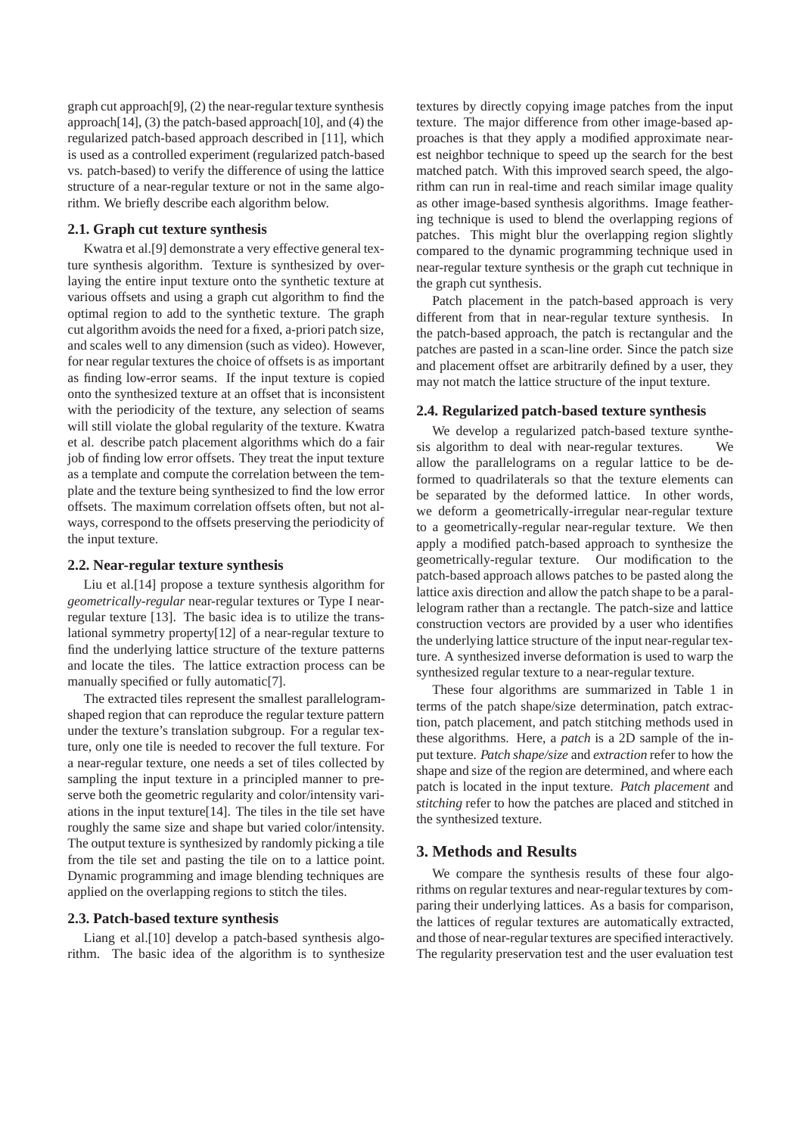graph cut approach[9], (2) the near-regular texture synthesis approach[14], (3) the patch-based approach[10], and (4) the regularized patch-based approach described in [11], which is used as a controlled experiment (regularized patch-based vs. patch-based) to verify the difference of using the lattice structure of a near-regular texture or not in the same algorithm. We briefly describe each algorithm below.

### **2.1. Graph cut texture synthesis**

Kwatra et al.[9] demonstrate a very effective general texture synthesis algorithm. Texture is synthesized by overlaying the entire input texture onto the synthetic texture at various offsets and using a graph cut algorithm to find the optimal region to add to the synthetic texture. The graph cut algorithm avoids the need for a fixed, a-priori patch size, and scales well to any dimension (such as video). However, for near regular textures the choice of offsets is as important as finding low-error seams. If the input texture is copied onto the synthesized texture at an offset that is inconsistent with the periodicity of the texture, any selection of seams will still violate the global regularity of the texture. Kwatra et al. describe patch placement algorithms which do a fair job of finding low error offsets. They treat the input texture as a template and compute the correlation between the template and the texture being synthesized to find the low error offsets. The maximum correlation offsets often, but not always, correspond to the offsets preserving the periodicity of the input texture.

#### **2.2. Near-regular texture synthesis**

Liu et al.[14] propose a texture synthesis algorithm for *geometrically-regular* near-regular textures or Type I nearregular texture [13]. The basic idea is to utilize the translational symmetry property[12] of a near-regular texture to find the underlying lattice structure of the texture patterns and locate the tiles. The lattice extraction process can be manually specified or fully automatic[7].

The extracted tiles represent the smallest parallelogramshaped region that can reproduce the regular texture pattern under the texture's translation subgroup. For a regular texture, only one tile is needed to recover the full texture. For a near-regular texture, one needs a set of tiles collected by sampling the input texture in a principled manner to preserve both the geometric regularity and color/intensity variations in the input texture[14]. The tiles in the tile set have roughly the same size and shape but varied color/intensity. The output texture is synthesized by randomly picking a tile from the tile set and pasting the tile on to a lattice point. Dynamic programming and image blending techniques are applied on the overlapping regions to stitch the tiles.

#### **2.3. Patch-based texture synthesis**

Liang et al.[10] develop a patch-based synthesis algorithm. The basic idea of the algorithm is to synthesize textures by directly copying image patches from the input texture. The major difference from other image-based approaches is that they apply a modified approximate nearest neighbor technique to speed up the search for the best matched patch. With this improved search speed, the algorithm can run in real-time and reach similar image quality as other image-based synthesis algorithms. Image feathering technique is used to blend the overlapping regions of patches. This might blur the overlapping region slightly compared to the dynamic programming technique used in near-regular texture synthesis or the graph cut technique in the graph cut synthesis.

Patch placement in the patch-based approach is very different from that in near-regular texture synthesis. In the patch-based approach, the patch is rectangular and the patches are pasted in a scan-line order. Since the patch size and placement offset are arbitrarily defined by a user, they may not match the lattice structure of the input texture.

#### **2.4. Regularized patch-based texture synthesis**

We develop a regularized patch-based texture synthesis algorithm to deal with near-regular textures. We allow the parallelograms on a regular lattice to be deformed to quadrilaterals so that the texture elements can be separated by the deformed lattice. In other words, we deform a geometrically-irregular near-regular texture to a geometrically-regular near-regular texture. We then apply a modified patch-based approach to synthesize the geometrically-regular texture. Our modification to the patch-based approach allows patches to be pasted along the lattice axis direction and allow the patch shape to be a parallelogram rather than a rectangle. The patch-size and lattice construction vectors are provided by a user who identifies the underlying lattice structure of the input near-regular texture. A synthesized inverse deformation is used to warp the synthesized regular texture to a near-regular texture.

These four algorithms are summarized in Table 1 in terms of the patch shape/size determination, patch extraction, patch placement, and patch stitching methods used in these algorithms. Here, a *patch* is a 2D sample of the input texture. *Patch shape/size* and *extraction* refer to how the shape and size of the region are determined, and where each patch is located in the input texture. *Patch placement* and *stitching* refer to how the patches are placed and stitched in the synthesized texture.

## **3. Methods and Results**

We compare the synthesis results of these four algorithms on regular textures and near-regular textures by comparing their underlying lattices. As a basis for comparison, the lattices of regular textures are automatically extracted, and those of near-regular textures are specified interactively. The regularity preservation test and the user evaluation test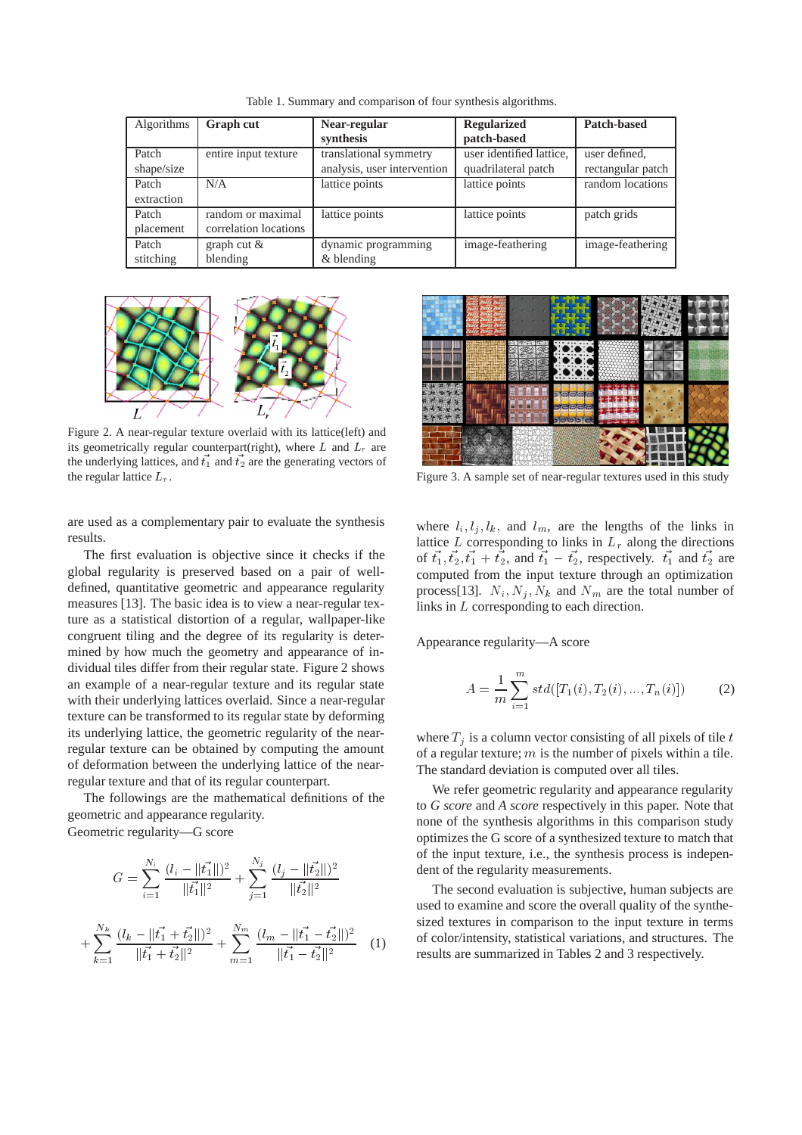| Algorithms | Graph cut             | Near-regular                | <b>Regularized</b>       | <b>Patch-based</b> |
|------------|-----------------------|-----------------------------|--------------------------|--------------------|
|            |                       | synthesis                   | patch-based              |                    |
| Patch      | entire input texture  | translational symmetry      | user identified lattice, | user defined,      |
| shape/size |                       | analysis, user intervention | quadrilateral patch      | rectangular patch  |
| Patch      | N/A                   | lattice points              | lattice points           | random locations   |
| extraction |                       |                             |                          |                    |
| Patch      | random or maximal     | lattice points              | lattice points           | patch grids        |
| placement  | correlation locations |                             |                          |                    |
| Patch      | graph cut $&$         | dynamic programming         | image-feathering         | image-feathering   |
| stitching  | blending              | & blending                  |                          |                    |

Table 1. Summary and comparison of four synthesis algorithms.



Figure 2. A near-regular texture overlaid with its lattice(left) and its geometrically regular counterpart(right), where  $L$  and  $L_r$  are the underlying lattices, and  $\vec{t_1}$  and  $\vec{t_2}$  are the generating vectors of the regular lattice  $L_r$ .

are used as a complementary pair to evaluate the synthesis results.

The first evaluation is objective since it checks if the global regularity is preserved based on a pair of welldefined, quantitative geometric and appearance regularity measures [13]. The basic idea is to view a near-regular texture as a statistical distortion of a regular, wallpaper-like congruent tiling and the degree of its regularity is determined by how much the geometry and appearance of individual tiles differ from their regular state. Figure 2 shows an example of a near-regular texture and its regular state with their underlying lattices overlaid. Since a near-regular texture can be transformed to its regular state by deforming its underlying lattice, the geometric regularity of the nearregular texture can be obtained by computing the amount of deformation between the underlying lattice of the nearregular texture and that of its regular counterpart.

The followings are the mathematical definitions of the geometric and appearance regularity.

Geometric regularity—G score

$$
G = \sum_{i=1}^{N_i} \frac{(l_i - ||\vec{t_1}||)^2}{||\vec{t_1}||^2} + \sum_{j=1}^{N_j} \frac{(l_j - ||\vec{t_2}||)^2}{||\vec{t_2}||^2}
$$

$$
+ \sum_{k=1}^{N_k} \frac{(l_k - ||\vec{t_1} + \vec{t_2}||)^2}{||\vec{t_1} + \vec{t_2}||^2} + \sum_{m=1}^{N_m} \frac{(l_m - ||\vec{t_1} - \vec{t_2}||)^2}{||\vec{t_1} - \vec{t_2}||^2} \quad (1)
$$



Figure 3. A sample set of near-regular textures used in this study

where  $l_i, l_j, l_k$ , and  $l_m$ , are the lengths of the links in lattice  $L$  corresponding to links in  $L_r$  along the directions of  $\vec{t}_1, \vec{t}_2, \vec{t}_1 + \vec{t}_2$ , and  $\vec{t}_1 - \vec{t}_2$ , respectively.  $\vec{t}_1$  and  $\vec{t}_2$  are computed from the input texture through an optimization process[13].  $N_i$ ,  $N_j$ ,  $N_k$  and  $N_m$  are the total number of links in  $L$  corresponding to each direction.

Appearance regularity—A score

$$
A = \frac{1}{m} \sum_{i=1}^{m} std([T_1(i), T_2(i), ..., T_n(i)])
$$
 (2)

where  $T_i$  is a column vector consisting of all pixels of tile t of a regular texture;  $m$  is the number of pixels within a tile. The standard deviation is computed over all tiles.

We refer geometric regularity and appearance regularity to *G score* and *A score* respectively in this paper. Note that none of the synthesis algorithms in this comparison study optimizes the G score of a synthesized texture to match that of the input texture, i.e., the synthesis process is independent of the regularity measurements.

The second evaluation is subjective, human subjects are used to examine and score the overall quality of the synthesized textures in comparison to the input texture in terms of color/intensity, statistical variations, and structures. The results are summarized in Tables 2 and 3 respectively.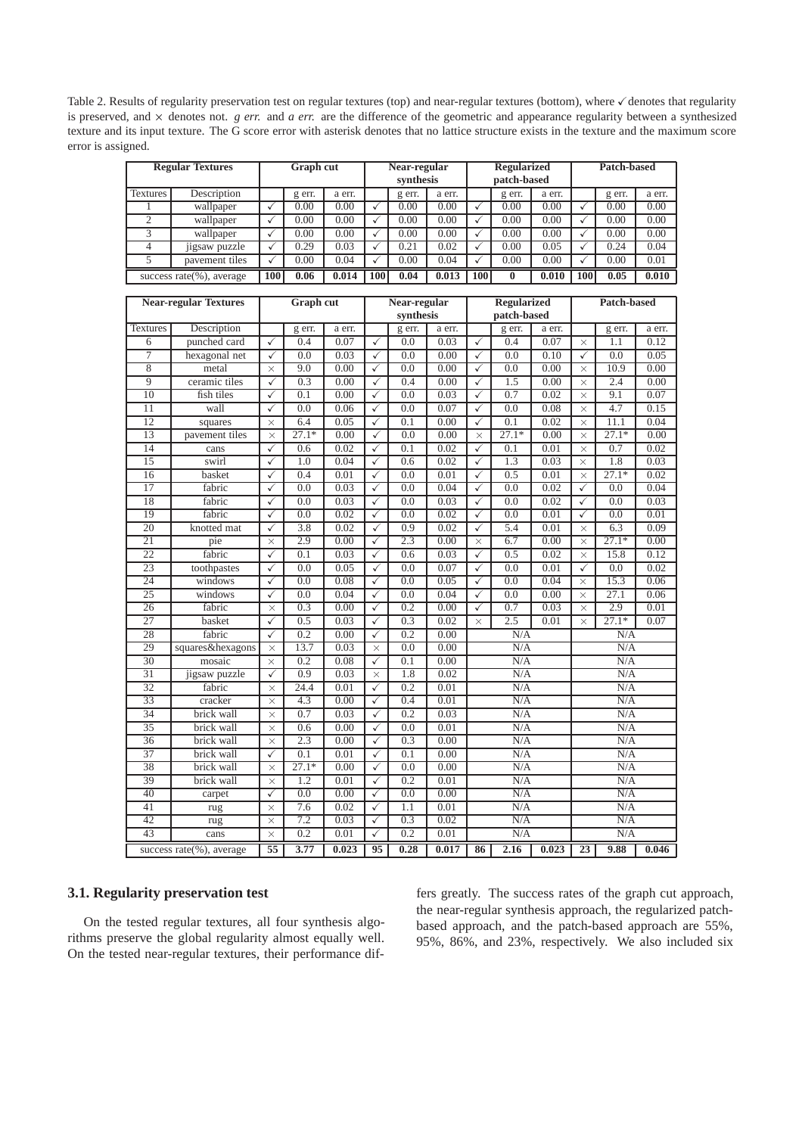Table 2. Results of regularity preservation test on regular textures (top) and near-regular textures (bottom), where  $\checkmark$  denotes that regularity is preserved, and  $\times$  denotes not. *g err.* and *a err.* are the difference of the geometric and appearance regularity between a synthesized texture and its input texture. The G score error with asterisk denotes that no lattice structure exists in the texture and the maximum score error is assigned.

| synthesis<br><b>Textures</b><br>Description<br>g err.<br>g err.<br>g err.<br>a err.<br>a err.<br>a err.<br>g err.<br>a err.<br>0.00<br>0.00<br>0.00<br>0.00<br>0.00<br>0.00<br>1<br>wallpaper<br>0.00<br>0.00<br>✓<br>✓<br>✓<br>✓<br>$\overline{2}$<br>0.00<br>0.00<br>0.00<br>0.00<br>0.00<br>0.00<br>0.00<br>0.00<br>wallpaper<br>✓<br>$\checkmark$<br>✓<br>✓<br>$\overline{\overline{3}}$<br>0.00<br>wallpaper<br>0.00<br>0.00<br>0.00<br>0.00<br>0.00<br>0.00<br>0.00<br>✓<br>✓<br>$\checkmark$<br>√<br>$\overline{4}$<br>0.29<br>0.03<br>0.21<br>0.02<br>0.00<br>0.05<br>0.24<br>0.04<br>jigsaw puzzle<br>$\checkmark$<br>$\checkmark$<br>√<br>$\checkmark$<br>5<br>$\sqrt{}$<br>0.00<br>0.04<br>$\overline{\checkmark}$<br>0.04<br>0.00<br>0.00<br>0.00<br>0.01<br>pavement tiles<br>0.00<br>✓<br>$\checkmark$<br>100<br>100<br>100<br>100<br>0.06<br>0.014<br>0.04<br>0.013<br>$\overline{\mathbf{0}}$<br>0.010<br>0.05<br>0.010<br>success rate(%), average<br>Near-regular<br><b>Regularized</b><br><b>Near-regular Textures</b><br><b>Graph</b> cut<br><b>Patch-based</b><br>synthesis<br>patch-based<br><b>Textures</b><br>Description<br>g err.<br>g err.<br>a err.<br>a err.<br>g err.<br>a err.<br>g err.<br>a err.<br>0.07<br>0.03<br>0.07<br>0.12<br>punched card<br>0.4<br>0.0<br>0.4<br>6<br>$\times$<br>1.1<br>✓<br>$\checkmark$<br>✓<br>7<br>0.00<br>0.0<br>0.03<br>0.0<br>0.0<br>0.10<br>0.0<br>hexagonal net<br>✓<br>✓<br>0.05<br>$\checkmark$<br>√<br>8<br>0.00<br>0.00<br>0.00<br>10.9<br>9.0<br>0.0<br>0.0<br>0.00<br>metal<br>$\times$<br>$\checkmark$<br>✓<br>$\times$<br>9<br>0.3<br>0.00<br>0.00<br>0.00<br>2.4<br>ceramic tiles<br>✓<br>0.4<br>1.5<br>0.00<br>$\checkmark$<br>✓<br>$\times$<br>0.00<br>$\overline{0.0}$<br>0.03<br>0.02<br>10<br>fish tiles<br>0.1<br>0.7<br>9.1<br>0.07<br>√<br>$\checkmark$<br>√<br>$\times$<br>0.0<br>0.06<br>0.0<br>0.07<br>0.0<br>4.7<br>11<br>wall<br>✓<br>$\checkmark$<br>✓<br>0.08<br>0.15<br>$\times$<br>12<br>6.4<br>0.05<br>$\checkmark$<br>0.1<br>0.00<br>0.1<br>0.02<br>11.1<br>0.04<br>$\times$<br>✓<br>$\times$<br>squares<br>$27.1*$<br>0.00<br>$27.1*$<br>0.00<br>$27.1*$<br>13<br>0.00<br>0.0<br>0.00<br>pavement tiles<br>$\times$<br>✓<br>$\times$<br>$\times$<br>14<br>0.02<br>0.1<br>0.02<br>0.01<br>0.7<br>0.02<br>0.6<br>0.1<br>$\times$<br>cans<br>✓<br>✓<br>✓<br>0.02<br>15<br>swirl<br>$\overline{\checkmark}$<br>1.0<br>0.04<br>0.6<br>$\overline{\checkmark}$<br>1.3<br>0.03<br>1.8<br>0.03<br>$\checkmark$<br>$\times$<br>0.01<br>$27.1*$<br>16<br>basket<br>0.4<br>0.01<br>0.0<br>0.5<br>0.01<br>0.02<br>✓<br>$\checkmark$<br>✓<br>$\times$<br>0.03<br>0.04<br>0.02<br>17<br>0.0<br>0.0<br>0.0<br>0.0<br>0.04<br>fabric<br>$\checkmark$<br>$\checkmark$<br>✓<br>√<br>0.03<br>18<br>$\overline{\checkmark}$<br>0.0<br>0.03<br>$\overline{\checkmark}$<br>0.0<br>$\overline{\checkmark}$<br>0.0<br>0.02<br>$\sqrt{}$<br>0.0<br>0.03<br>fabric<br>19<br>0.0<br>0.02<br>0.0<br>0.02<br>0.0<br>0.01<br>✓<br>0.0<br>0.01<br>fabric<br>✓<br>$\checkmark$<br>$\checkmark$<br>0.02<br>0.01<br>20<br>knotted mat<br>3.8<br>0.02<br>0.9<br>5.4<br>6.3<br>0.09<br>✓<br>✓<br>✓<br>$\times$<br>$\overline{21}$<br>2.9<br>0.00<br>2.3<br>0.00<br>0.00<br>$27.1*$<br>6.7<br>$\times$<br>0.00<br>$\times$<br>$\checkmark$<br>$\times$<br>pie<br>$\overline{22}$<br>0.03<br>fabric<br>0.1<br>0.03<br>0.6<br>0.5<br>0.02<br>15.8<br>0.12<br>✓<br>✓<br>$\checkmark$<br>$\times$<br>$\overline{23}$<br>0.05<br>0.07<br>0.01<br>$\overline{\checkmark}$<br>0.0<br>$\overline{\checkmark}$<br>0.0<br>$\overline{\checkmark}$<br>0.0<br>$\overline{\checkmark}$<br>0.0<br>0.02<br>toothpastes<br>0.05<br>0.04<br>15.3<br>24<br>0.0<br>0.08<br>0.0<br>0.0<br>0.06<br>windows<br>✓<br>$\checkmark$<br>✓<br>$\times$<br>$\overline{25}$<br>0.0<br>0.04<br>0.0<br>0.04<br>0.0<br>0.00<br>27.1<br>windows<br>$\overline{\checkmark}$<br>$\overline{\checkmark}$<br>$\overline{\checkmark}$<br>0.06<br>$\times$<br>26<br>0.3<br>0.00<br>0.2<br>0.00<br>0.7<br>0.03<br>2.9<br>0.01<br>fabric<br>$\checkmark$<br>$\times$<br>✓<br>$\times$<br>$\overline{27}$<br>0.5<br>0.03<br>0.3<br>0.02<br>2.5<br>0.01<br>$27.1*$<br>0.07<br>basket<br>✓<br>$\checkmark$<br>$\times$<br>$\times$<br>0.00<br>N/A<br>28<br>fabric<br>0.2<br>0.00<br>0.2<br>N/A<br>√<br>✓<br>29<br>13.7<br>0.03<br>0.0<br>0.00<br>N/A<br>N/A<br>squares&hexagons<br>$\times$<br>$\times$<br>30<br>0.2<br>0.08<br>0.1<br>0.00<br>N/A<br>N/A<br>mosaic<br>✓<br>$\times$<br>0.02<br>$\overline{31}$<br>0.9<br>0.03<br>1.8<br>N/A<br>N/A<br>jigsaw puzzle<br>✓<br>$\times$<br>$\overline{32}$<br>0.01<br>N/A<br>N/A<br>24.4<br>0.01<br>$\sqrt{}$<br>0.2<br>fabric<br>$\times$<br>33<br>0.00<br>0.01<br>N/A<br>N/A<br>4.3<br>0.4<br>cracker<br>$\times$<br>$\checkmark$<br>0.03<br>0.03<br>N/A<br>N/A<br>34<br>brick wall<br>0.7<br>$\checkmark$<br>0.2<br>$\times$<br>$\overline{35}$<br>0.00<br>0.01<br>N/A<br>0.6<br>0.0<br>N/A<br>brick wall<br>$\times$<br>✓<br>36<br>2.3<br>0.00<br>0.00<br>N/A<br>N/A<br>0.3<br>brick wall<br>$\times$<br>√<br>$\overline{37}$<br>0.1<br>0.01<br>0.00<br>N/A<br>N/A<br>✓<br>$\checkmark$<br>0.1<br>brick wall<br>0.00<br>38<br>$27.1*$<br>0.00<br>0.0<br>N/A<br>N/A<br>brick wall<br>$\checkmark$<br>$\times$<br>0.01<br>N/A<br>39<br>1.2<br>0.01<br>0.2<br>N/A<br>brick wall<br>$\times$<br>$\checkmark$<br>0.00<br>N/A<br>N/A<br>40<br>0.0<br>0.00<br>0.0<br>✓<br>$\checkmark$<br>carpet<br>N/A<br>N/A<br>41<br>7.6<br>0.02<br>$\overline{\checkmark}$<br>1.1<br>0.01<br>$\times$<br>rug<br>42<br>7.2<br>0.02<br>N/A<br>N/A<br>0.03<br>0.3<br>$\times$<br>√<br>rug<br>N/A<br>N/A<br>43<br>0.2<br>0.01<br>0.2<br>0.01<br>cans<br>$\times$<br>$\checkmark$<br>$\overline{55}$<br>95<br>3.77<br>0.28<br>9.88<br>0.023<br>0.017<br>86<br>2.16<br>0.023<br>$\overline{23}$<br>0.046<br>success rate $(\%)$ , average | <b>Regular Textures</b> | Graph cut<br>Near-regular<br><b>Regularized</b><br>Patch-based |  |  |             |  |  |  |  |  |
|-----------------------------------------------------------------------------------------------------------------------------------------------------------------------------------------------------------------------------------------------------------------------------------------------------------------------------------------------------------------------------------------------------------------------------------------------------------------------------------------------------------------------------------------------------------------------------------------------------------------------------------------------------------------------------------------------------------------------------------------------------------------------------------------------------------------------------------------------------------------------------------------------------------------------------------------------------------------------------------------------------------------------------------------------------------------------------------------------------------------------------------------------------------------------------------------------------------------------------------------------------------------------------------------------------------------------------------------------------------------------------------------------------------------------------------------------------------------------------------------------------------------------------------------------------------------------------------------------------------------------------------------------------------------------------------------------------------------------------------------------------------------------------------------------------------------------------------------------------------------------------------------------------------------------------------------------------------------------------------------------------------------------------------------------------------------------------------------------------------------------------------------------------------------------------------------------------------------------------------------------------------------------------------------------------------------------------------------------------------------------------------------------------------------------------------------------------------------------------------------------------------------------------------------------------------------------------------------------------------------------------------------------------------------------------------------------------------------------------------------------------------------------------------------------------------------------------------------------------------------------------------------------------------------------------------------------------------------------------------------------------------------------------------------------------------------------------------------------------------------------------------------------------------------------------------------------------------------------------------------------------------------------------------------------------------------------------------------------------------------------------------------------------------------------------------------------------------------------------------------------------------------------------------------------------------------------------------------------------------------------------------------------------------------------------------------------------------------------------------------------------------------------------------------------------------------------------------------------------------------------------------------------------------------------------------------------------------------------------------------------------------------------------------------------------------------------------------------------------------------------------------------------------------------------------------------------------------------------------------------------------------------------------------------------------------------------------------------------------------------------------------------------------------------------------------------------------------------------------------------------------------------------------------------------------------------------------------------------------------------------------------------------------------------------------------------------------------------------------------------------------------------------------------------------------------------------------------------------------------------------------------------------------------------------------------------------------------------------------------------------------------------------------------------------------------------------------------------------------------------------------------------------------------------------------------------------------------------------------------------------------------------------------------------------------------------------------------------------------------------------------------------------------------------------------------------------------------------------------------------------------------------------------------------------------------------------------------------------------------------------------------------------------------------------------------------------------------------------------------------------------------------------------------------------------------------------------------------------------------------------------------|-------------------------|----------------------------------------------------------------|--|--|-------------|--|--|--|--|--|
|                                                                                                                                                                                                                                                                                                                                                                                                                                                                                                                                                                                                                                                                                                                                                                                                                                                                                                                                                                                                                                                                                                                                                                                                                                                                                                                                                                                                                                                                                                                                                                                                                                                                                                                                                                                                                                                                                                                                                                                                                                                                                                                                                                                                                                                                                                                                                                                                                                                                                                                                                                                                                                                                                                                                                                                                                                                                                                                                                                                                                                                                                                                                                                                                                                                                                                                                                                                                                                                                                                                                                                                                                                                                                                                                                                                                                                                                                                                                                                                                                                                                                                                                                                                                                                                                                                                                                                                                                                                                                                                                                                                                                                                                                                                                                                                                                                                                                                                                                                                                                                                                                                                                                                                                                                                                                                                                                                                                                                                                                                                                                                                                                                                                                                                                                                                                                                                                                   |                         |                                                                |  |  | patch-based |  |  |  |  |  |
|                                                                                                                                                                                                                                                                                                                                                                                                                                                                                                                                                                                                                                                                                                                                                                                                                                                                                                                                                                                                                                                                                                                                                                                                                                                                                                                                                                                                                                                                                                                                                                                                                                                                                                                                                                                                                                                                                                                                                                                                                                                                                                                                                                                                                                                                                                                                                                                                                                                                                                                                                                                                                                                                                                                                                                                                                                                                                                                                                                                                                                                                                                                                                                                                                                                                                                                                                                                                                                                                                                                                                                                                                                                                                                                                                                                                                                                                                                                                                                                                                                                                                                                                                                                                                                                                                                                                                                                                                                                                                                                                                                                                                                                                                                                                                                                                                                                                                                                                                                                                                                                                                                                                                                                                                                                                                                                                                                                                                                                                                                                                                                                                                                                                                                                                                                                                                                                                                   |                         |                                                                |  |  |             |  |  |  |  |  |
|                                                                                                                                                                                                                                                                                                                                                                                                                                                                                                                                                                                                                                                                                                                                                                                                                                                                                                                                                                                                                                                                                                                                                                                                                                                                                                                                                                                                                                                                                                                                                                                                                                                                                                                                                                                                                                                                                                                                                                                                                                                                                                                                                                                                                                                                                                                                                                                                                                                                                                                                                                                                                                                                                                                                                                                                                                                                                                                                                                                                                                                                                                                                                                                                                                                                                                                                                                                                                                                                                                                                                                                                                                                                                                                                                                                                                                                                                                                                                                                                                                                                                                                                                                                                                                                                                                                                                                                                                                                                                                                                                                                                                                                                                                                                                                                                                                                                                                                                                                                                                                                                                                                                                                                                                                                                                                                                                                                                                                                                                                                                                                                                                                                                                                                                                                                                                                                                                   |                         |                                                                |  |  |             |  |  |  |  |  |
|                                                                                                                                                                                                                                                                                                                                                                                                                                                                                                                                                                                                                                                                                                                                                                                                                                                                                                                                                                                                                                                                                                                                                                                                                                                                                                                                                                                                                                                                                                                                                                                                                                                                                                                                                                                                                                                                                                                                                                                                                                                                                                                                                                                                                                                                                                                                                                                                                                                                                                                                                                                                                                                                                                                                                                                                                                                                                                                                                                                                                                                                                                                                                                                                                                                                                                                                                                                                                                                                                                                                                                                                                                                                                                                                                                                                                                                                                                                                                                                                                                                                                                                                                                                                                                                                                                                                                                                                                                                                                                                                                                                                                                                                                                                                                                                                                                                                                                                                                                                                                                                                                                                                                                                                                                                                                                                                                                                                                                                                                                                                                                                                                                                                                                                                                                                                                                                                                   |                         |                                                                |  |  |             |  |  |  |  |  |
|                                                                                                                                                                                                                                                                                                                                                                                                                                                                                                                                                                                                                                                                                                                                                                                                                                                                                                                                                                                                                                                                                                                                                                                                                                                                                                                                                                                                                                                                                                                                                                                                                                                                                                                                                                                                                                                                                                                                                                                                                                                                                                                                                                                                                                                                                                                                                                                                                                                                                                                                                                                                                                                                                                                                                                                                                                                                                                                                                                                                                                                                                                                                                                                                                                                                                                                                                                                                                                                                                                                                                                                                                                                                                                                                                                                                                                                                                                                                                                                                                                                                                                                                                                                                                                                                                                                                                                                                                                                                                                                                                                                                                                                                                                                                                                                                                                                                                                                                                                                                                                                                                                                                                                                                                                                                                                                                                                                                                                                                                                                                                                                                                                                                                                                                                                                                                                                                                   |                         |                                                                |  |  |             |  |  |  |  |  |
|                                                                                                                                                                                                                                                                                                                                                                                                                                                                                                                                                                                                                                                                                                                                                                                                                                                                                                                                                                                                                                                                                                                                                                                                                                                                                                                                                                                                                                                                                                                                                                                                                                                                                                                                                                                                                                                                                                                                                                                                                                                                                                                                                                                                                                                                                                                                                                                                                                                                                                                                                                                                                                                                                                                                                                                                                                                                                                                                                                                                                                                                                                                                                                                                                                                                                                                                                                                                                                                                                                                                                                                                                                                                                                                                                                                                                                                                                                                                                                                                                                                                                                                                                                                                                                                                                                                                                                                                                                                                                                                                                                                                                                                                                                                                                                                                                                                                                                                                                                                                                                                                                                                                                                                                                                                                                                                                                                                                                                                                                                                                                                                                                                                                                                                                                                                                                                                                                   |                         |                                                                |  |  |             |  |  |  |  |  |
|                                                                                                                                                                                                                                                                                                                                                                                                                                                                                                                                                                                                                                                                                                                                                                                                                                                                                                                                                                                                                                                                                                                                                                                                                                                                                                                                                                                                                                                                                                                                                                                                                                                                                                                                                                                                                                                                                                                                                                                                                                                                                                                                                                                                                                                                                                                                                                                                                                                                                                                                                                                                                                                                                                                                                                                                                                                                                                                                                                                                                                                                                                                                                                                                                                                                                                                                                                                                                                                                                                                                                                                                                                                                                                                                                                                                                                                                                                                                                                                                                                                                                                                                                                                                                                                                                                                                                                                                                                                                                                                                                                                                                                                                                                                                                                                                                                                                                                                                                                                                                                                                                                                                                                                                                                                                                                                                                                                                                                                                                                                                                                                                                                                                                                                                                                                                                                                                                   |                         |                                                                |  |  |             |  |  |  |  |  |
|                                                                                                                                                                                                                                                                                                                                                                                                                                                                                                                                                                                                                                                                                                                                                                                                                                                                                                                                                                                                                                                                                                                                                                                                                                                                                                                                                                                                                                                                                                                                                                                                                                                                                                                                                                                                                                                                                                                                                                                                                                                                                                                                                                                                                                                                                                                                                                                                                                                                                                                                                                                                                                                                                                                                                                                                                                                                                                                                                                                                                                                                                                                                                                                                                                                                                                                                                                                                                                                                                                                                                                                                                                                                                                                                                                                                                                                                                                                                                                                                                                                                                                                                                                                                                                                                                                                                                                                                                                                                                                                                                                                                                                                                                                                                                                                                                                                                                                                                                                                                                                                                                                                                                                                                                                                                                                                                                                                                                                                                                                                                                                                                                                                                                                                                                                                                                                                                                   |                         |                                                                |  |  |             |  |  |  |  |  |
|                                                                                                                                                                                                                                                                                                                                                                                                                                                                                                                                                                                                                                                                                                                                                                                                                                                                                                                                                                                                                                                                                                                                                                                                                                                                                                                                                                                                                                                                                                                                                                                                                                                                                                                                                                                                                                                                                                                                                                                                                                                                                                                                                                                                                                                                                                                                                                                                                                                                                                                                                                                                                                                                                                                                                                                                                                                                                                                                                                                                                                                                                                                                                                                                                                                                                                                                                                                                                                                                                                                                                                                                                                                                                                                                                                                                                                                                                                                                                                                                                                                                                                                                                                                                                                                                                                                                                                                                                                                                                                                                                                                                                                                                                                                                                                                                                                                                                                                                                                                                                                                                                                                                                                                                                                                                                                                                                                                                                                                                                                                                                                                                                                                                                                                                                                                                                                                                                   |                         |                                                                |  |  |             |  |  |  |  |  |
|                                                                                                                                                                                                                                                                                                                                                                                                                                                                                                                                                                                                                                                                                                                                                                                                                                                                                                                                                                                                                                                                                                                                                                                                                                                                                                                                                                                                                                                                                                                                                                                                                                                                                                                                                                                                                                                                                                                                                                                                                                                                                                                                                                                                                                                                                                                                                                                                                                                                                                                                                                                                                                                                                                                                                                                                                                                                                                                                                                                                                                                                                                                                                                                                                                                                                                                                                                                                                                                                                                                                                                                                                                                                                                                                                                                                                                                                                                                                                                                                                                                                                                                                                                                                                                                                                                                                                                                                                                                                                                                                                                                                                                                                                                                                                                                                                                                                                                                                                                                                                                                                                                                                                                                                                                                                                                                                                                                                                                                                                                                                                                                                                                                                                                                                                                                                                                                                                   |                         |                                                                |  |  |             |  |  |  |  |  |
|                                                                                                                                                                                                                                                                                                                                                                                                                                                                                                                                                                                                                                                                                                                                                                                                                                                                                                                                                                                                                                                                                                                                                                                                                                                                                                                                                                                                                                                                                                                                                                                                                                                                                                                                                                                                                                                                                                                                                                                                                                                                                                                                                                                                                                                                                                                                                                                                                                                                                                                                                                                                                                                                                                                                                                                                                                                                                                                                                                                                                                                                                                                                                                                                                                                                                                                                                                                                                                                                                                                                                                                                                                                                                                                                                                                                                                                                                                                                                                                                                                                                                                                                                                                                                                                                                                                                                                                                                                                                                                                                                                                                                                                                                                                                                                                                                                                                                                                                                                                                                                                                                                                                                                                                                                                                                                                                                                                                                                                                                                                                                                                                                                                                                                                                                                                                                                                                                   |                         |                                                                |  |  |             |  |  |  |  |  |
|                                                                                                                                                                                                                                                                                                                                                                                                                                                                                                                                                                                                                                                                                                                                                                                                                                                                                                                                                                                                                                                                                                                                                                                                                                                                                                                                                                                                                                                                                                                                                                                                                                                                                                                                                                                                                                                                                                                                                                                                                                                                                                                                                                                                                                                                                                                                                                                                                                                                                                                                                                                                                                                                                                                                                                                                                                                                                                                                                                                                                                                                                                                                                                                                                                                                                                                                                                                                                                                                                                                                                                                                                                                                                                                                                                                                                                                                                                                                                                                                                                                                                                                                                                                                                                                                                                                                                                                                                                                                                                                                                                                                                                                                                                                                                                                                                                                                                                                                                                                                                                                                                                                                                                                                                                                                                                                                                                                                                                                                                                                                                                                                                                                                                                                                                                                                                                                                                   |                         |                                                                |  |  |             |  |  |  |  |  |
|                                                                                                                                                                                                                                                                                                                                                                                                                                                                                                                                                                                                                                                                                                                                                                                                                                                                                                                                                                                                                                                                                                                                                                                                                                                                                                                                                                                                                                                                                                                                                                                                                                                                                                                                                                                                                                                                                                                                                                                                                                                                                                                                                                                                                                                                                                                                                                                                                                                                                                                                                                                                                                                                                                                                                                                                                                                                                                                                                                                                                                                                                                                                                                                                                                                                                                                                                                                                                                                                                                                                                                                                                                                                                                                                                                                                                                                                                                                                                                                                                                                                                                                                                                                                                                                                                                                                                                                                                                                                                                                                                                                                                                                                                                                                                                                                                                                                                                                                                                                                                                                                                                                                                                                                                                                                                                                                                                                                                                                                                                                                                                                                                                                                                                                                                                                                                                                                                   |                         |                                                                |  |  |             |  |  |  |  |  |
|                                                                                                                                                                                                                                                                                                                                                                                                                                                                                                                                                                                                                                                                                                                                                                                                                                                                                                                                                                                                                                                                                                                                                                                                                                                                                                                                                                                                                                                                                                                                                                                                                                                                                                                                                                                                                                                                                                                                                                                                                                                                                                                                                                                                                                                                                                                                                                                                                                                                                                                                                                                                                                                                                                                                                                                                                                                                                                                                                                                                                                                                                                                                                                                                                                                                                                                                                                                                                                                                                                                                                                                                                                                                                                                                                                                                                                                                                                                                                                                                                                                                                                                                                                                                                                                                                                                                                                                                                                                                                                                                                                                                                                                                                                                                                                                                                                                                                                                                                                                                                                                                                                                                                                                                                                                                                                                                                                                                                                                                                                                                                                                                                                                                                                                                                                                                                                                                                   |                         |                                                                |  |  |             |  |  |  |  |  |
|                                                                                                                                                                                                                                                                                                                                                                                                                                                                                                                                                                                                                                                                                                                                                                                                                                                                                                                                                                                                                                                                                                                                                                                                                                                                                                                                                                                                                                                                                                                                                                                                                                                                                                                                                                                                                                                                                                                                                                                                                                                                                                                                                                                                                                                                                                                                                                                                                                                                                                                                                                                                                                                                                                                                                                                                                                                                                                                                                                                                                                                                                                                                                                                                                                                                                                                                                                                                                                                                                                                                                                                                                                                                                                                                                                                                                                                                                                                                                                                                                                                                                                                                                                                                                                                                                                                                                                                                                                                                                                                                                                                                                                                                                                                                                                                                                                                                                                                                                                                                                                                                                                                                                                                                                                                                                                                                                                                                                                                                                                                                                                                                                                                                                                                                                                                                                                                                                   |                         |                                                                |  |  |             |  |  |  |  |  |
|                                                                                                                                                                                                                                                                                                                                                                                                                                                                                                                                                                                                                                                                                                                                                                                                                                                                                                                                                                                                                                                                                                                                                                                                                                                                                                                                                                                                                                                                                                                                                                                                                                                                                                                                                                                                                                                                                                                                                                                                                                                                                                                                                                                                                                                                                                                                                                                                                                                                                                                                                                                                                                                                                                                                                                                                                                                                                                                                                                                                                                                                                                                                                                                                                                                                                                                                                                                                                                                                                                                                                                                                                                                                                                                                                                                                                                                                                                                                                                                                                                                                                                                                                                                                                                                                                                                                                                                                                                                                                                                                                                                                                                                                                                                                                                                                                                                                                                                                                                                                                                                                                                                                                                                                                                                                                                                                                                                                                                                                                                                                                                                                                                                                                                                                                                                                                                                                                   |                         |                                                                |  |  |             |  |  |  |  |  |
|                                                                                                                                                                                                                                                                                                                                                                                                                                                                                                                                                                                                                                                                                                                                                                                                                                                                                                                                                                                                                                                                                                                                                                                                                                                                                                                                                                                                                                                                                                                                                                                                                                                                                                                                                                                                                                                                                                                                                                                                                                                                                                                                                                                                                                                                                                                                                                                                                                                                                                                                                                                                                                                                                                                                                                                                                                                                                                                                                                                                                                                                                                                                                                                                                                                                                                                                                                                                                                                                                                                                                                                                                                                                                                                                                                                                                                                                                                                                                                                                                                                                                                                                                                                                                                                                                                                                                                                                                                                                                                                                                                                                                                                                                                                                                                                                                                                                                                                                                                                                                                                                                                                                                                                                                                                                                                                                                                                                                                                                                                                                                                                                                                                                                                                                                                                                                                                                                   |                         |                                                                |  |  |             |  |  |  |  |  |
|                                                                                                                                                                                                                                                                                                                                                                                                                                                                                                                                                                                                                                                                                                                                                                                                                                                                                                                                                                                                                                                                                                                                                                                                                                                                                                                                                                                                                                                                                                                                                                                                                                                                                                                                                                                                                                                                                                                                                                                                                                                                                                                                                                                                                                                                                                                                                                                                                                                                                                                                                                                                                                                                                                                                                                                                                                                                                                                                                                                                                                                                                                                                                                                                                                                                                                                                                                                                                                                                                                                                                                                                                                                                                                                                                                                                                                                                                                                                                                                                                                                                                                                                                                                                                                                                                                                                                                                                                                                                                                                                                                                                                                                                                                                                                                                                                                                                                                                                                                                                                                                                                                                                                                                                                                                                                                                                                                                                                                                                                                                                                                                                                                                                                                                                                                                                                                                                                   |                         |                                                                |  |  |             |  |  |  |  |  |
|                                                                                                                                                                                                                                                                                                                                                                                                                                                                                                                                                                                                                                                                                                                                                                                                                                                                                                                                                                                                                                                                                                                                                                                                                                                                                                                                                                                                                                                                                                                                                                                                                                                                                                                                                                                                                                                                                                                                                                                                                                                                                                                                                                                                                                                                                                                                                                                                                                                                                                                                                                                                                                                                                                                                                                                                                                                                                                                                                                                                                                                                                                                                                                                                                                                                                                                                                                                                                                                                                                                                                                                                                                                                                                                                                                                                                                                                                                                                                                                                                                                                                                                                                                                                                                                                                                                                                                                                                                                                                                                                                                                                                                                                                                                                                                                                                                                                                                                                                                                                                                                                                                                                                                                                                                                                                                                                                                                                                                                                                                                                                                                                                                                                                                                                                                                                                                                                                   |                         |                                                                |  |  |             |  |  |  |  |  |
|                                                                                                                                                                                                                                                                                                                                                                                                                                                                                                                                                                                                                                                                                                                                                                                                                                                                                                                                                                                                                                                                                                                                                                                                                                                                                                                                                                                                                                                                                                                                                                                                                                                                                                                                                                                                                                                                                                                                                                                                                                                                                                                                                                                                                                                                                                                                                                                                                                                                                                                                                                                                                                                                                                                                                                                                                                                                                                                                                                                                                                                                                                                                                                                                                                                                                                                                                                                                                                                                                                                                                                                                                                                                                                                                                                                                                                                                                                                                                                                                                                                                                                                                                                                                                                                                                                                                                                                                                                                                                                                                                                                                                                                                                                                                                                                                                                                                                                                                                                                                                                                                                                                                                                                                                                                                                                                                                                                                                                                                                                                                                                                                                                                                                                                                                                                                                                                                                   |                         |                                                                |  |  |             |  |  |  |  |  |
|                                                                                                                                                                                                                                                                                                                                                                                                                                                                                                                                                                                                                                                                                                                                                                                                                                                                                                                                                                                                                                                                                                                                                                                                                                                                                                                                                                                                                                                                                                                                                                                                                                                                                                                                                                                                                                                                                                                                                                                                                                                                                                                                                                                                                                                                                                                                                                                                                                                                                                                                                                                                                                                                                                                                                                                                                                                                                                                                                                                                                                                                                                                                                                                                                                                                                                                                                                                                                                                                                                                                                                                                                                                                                                                                                                                                                                                                                                                                                                                                                                                                                                                                                                                                                                                                                                                                                                                                                                                                                                                                                                                                                                                                                                                                                                                                                                                                                                                                                                                                                                                                                                                                                                                                                                                                                                                                                                                                                                                                                                                                                                                                                                                                                                                                                                                                                                                                                   |                         |                                                                |  |  |             |  |  |  |  |  |
|                                                                                                                                                                                                                                                                                                                                                                                                                                                                                                                                                                                                                                                                                                                                                                                                                                                                                                                                                                                                                                                                                                                                                                                                                                                                                                                                                                                                                                                                                                                                                                                                                                                                                                                                                                                                                                                                                                                                                                                                                                                                                                                                                                                                                                                                                                                                                                                                                                                                                                                                                                                                                                                                                                                                                                                                                                                                                                                                                                                                                                                                                                                                                                                                                                                                                                                                                                                                                                                                                                                                                                                                                                                                                                                                                                                                                                                                                                                                                                                                                                                                                                                                                                                                                                                                                                                                                                                                                                                                                                                                                                                                                                                                                                                                                                                                                                                                                                                                                                                                                                                                                                                                                                                                                                                                                                                                                                                                                                                                                                                                                                                                                                                                                                                                                                                                                                                                                   |                         |                                                                |  |  |             |  |  |  |  |  |
|                                                                                                                                                                                                                                                                                                                                                                                                                                                                                                                                                                                                                                                                                                                                                                                                                                                                                                                                                                                                                                                                                                                                                                                                                                                                                                                                                                                                                                                                                                                                                                                                                                                                                                                                                                                                                                                                                                                                                                                                                                                                                                                                                                                                                                                                                                                                                                                                                                                                                                                                                                                                                                                                                                                                                                                                                                                                                                                                                                                                                                                                                                                                                                                                                                                                                                                                                                                                                                                                                                                                                                                                                                                                                                                                                                                                                                                                                                                                                                                                                                                                                                                                                                                                                                                                                                                                                                                                                                                                                                                                                                                                                                                                                                                                                                                                                                                                                                                                                                                                                                                                                                                                                                                                                                                                                                                                                                                                                                                                                                                                                                                                                                                                                                                                                                                                                                                                                   |                         |                                                                |  |  |             |  |  |  |  |  |
|                                                                                                                                                                                                                                                                                                                                                                                                                                                                                                                                                                                                                                                                                                                                                                                                                                                                                                                                                                                                                                                                                                                                                                                                                                                                                                                                                                                                                                                                                                                                                                                                                                                                                                                                                                                                                                                                                                                                                                                                                                                                                                                                                                                                                                                                                                                                                                                                                                                                                                                                                                                                                                                                                                                                                                                                                                                                                                                                                                                                                                                                                                                                                                                                                                                                                                                                                                                                                                                                                                                                                                                                                                                                                                                                                                                                                                                                                                                                                                                                                                                                                                                                                                                                                                                                                                                                                                                                                                                                                                                                                                                                                                                                                                                                                                                                                                                                                                                                                                                                                                                                                                                                                                                                                                                                                                                                                                                                                                                                                                                                                                                                                                                                                                                                                                                                                                                                                   |                         |                                                                |  |  |             |  |  |  |  |  |
|                                                                                                                                                                                                                                                                                                                                                                                                                                                                                                                                                                                                                                                                                                                                                                                                                                                                                                                                                                                                                                                                                                                                                                                                                                                                                                                                                                                                                                                                                                                                                                                                                                                                                                                                                                                                                                                                                                                                                                                                                                                                                                                                                                                                                                                                                                                                                                                                                                                                                                                                                                                                                                                                                                                                                                                                                                                                                                                                                                                                                                                                                                                                                                                                                                                                                                                                                                                                                                                                                                                                                                                                                                                                                                                                                                                                                                                                                                                                                                                                                                                                                                                                                                                                                                                                                                                                                                                                                                                                                                                                                                                                                                                                                                                                                                                                                                                                                                                                                                                                                                                                                                                                                                                                                                                                                                                                                                                                                                                                                                                                                                                                                                                                                                                                                                                                                                                                                   |                         |                                                                |  |  |             |  |  |  |  |  |
|                                                                                                                                                                                                                                                                                                                                                                                                                                                                                                                                                                                                                                                                                                                                                                                                                                                                                                                                                                                                                                                                                                                                                                                                                                                                                                                                                                                                                                                                                                                                                                                                                                                                                                                                                                                                                                                                                                                                                                                                                                                                                                                                                                                                                                                                                                                                                                                                                                                                                                                                                                                                                                                                                                                                                                                                                                                                                                                                                                                                                                                                                                                                                                                                                                                                                                                                                                                                                                                                                                                                                                                                                                                                                                                                                                                                                                                                                                                                                                                                                                                                                                                                                                                                                                                                                                                                                                                                                                                                                                                                                                                                                                                                                                                                                                                                                                                                                                                                                                                                                                                                                                                                                                                                                                                                                                                                                                                                                                                                                                                                                                                                                                                                                                                                                                                                                                                                                   |                         |                                                                |  |  |             |  |  |  |  |  |
|                                                                                                                                                                                                                                                                                                                                                                                                                                                                                                                                                                                                                                                                                                                                                                                                                                                                                                                                                                                                                                                                                                                                                                                                                                                                                                                                                                                                                                                                                                                                                                                                                                                                                                                                                                                                                                                                                                                                                                                                                                                                                                                                                                                                                                                                                                                                                                                                                                                                                                                                                                                                                                                                                                                                                                                                                                                                                                                                                                                                                                                                                                                                                                                                                                                                                                                                                                                                                                                                                                                                                                                                                                                                                                                                                                                                                                                                                                                                                                                                                                                                                                                                                                                                                                                                                                                                                                                                                                                                                                                                                                                                                                                                                                                                                                                                                                                                                                                                                                                                                                                                                                                                                                                                                                                                                                                                                                                                                                                                                                                                                                                                                                                                                                                                                                                                                                                                                   |                         |                                                                |  |  |             |  |  |  |  |  |
|                                                                                                                                                                                                                                                                                                                                                                                                                                                                                                                                                                                                                                                                                                                                                                                                                                                                                                                                                                                                                                                                                                                                                                                                                                                                                                                                                                                                                                                                                                                                                                                                                                                                                                                                                                                                                                                                                                                                                                                                                                                                                                                                                                                                                                                                                                                                                                                                                                                                                                                                                                                                                                                                                                                                                                                                                                                                                                                                                                                                                                                                                                                                                                                                                                                                                                                                                                                                                                                                                                                                                                                                                                                                                                                                                                                                                                                                                                                                                                                                                                                                                                                                                                                                                                                                                                                                                                                                                                                                                                                                                                                                                                                                                                                                                                                                                                                                                                                                                                                                                                                                                                                                                                                                                                                                                                                                                                                                                                                                                                                                                                                                                                                                                                                                                                                                                                                                                   |                         |                                                                |  |  |             |  |  |  |  |  |
|                                                                                                                                                                                                                                                                                                                                                                                                                                                                                                                                                                                                                                                                                                                                                                                                                                                                                                                                                                                                                                                                                                                                                                                                                                                                                                                                                                                                                                                                                                                                                                                                                                                                                                                                                                                                                                                                                                                                                                                                                                                                                                                                                                                                                                                                                                                                                                                                                                                                                                                                                                                                                                                                                                                                                                                                                                                                                                                                                                                                                                                                                                                                                                                                                                                                                                                                                                                                                                                                                                                                                                                                                                                                                                                                                                                                                                                                                                                                                                                                                                                                                                                                                                                                                                                                                                                                                                                                                                                                                                                                                                                                                                                                                                                                                                                                                                                                                                                                                                                                                                                                                                                                                                                                                                                                                                                                                                                                                                                                                                                                                                                                                                                                                                                                                                                                                                                                                   |                         |                                                                |  |  |             |  |  |  |  |  |
|                                                                                                                                                                                                                                                                                                                                                                                                                                                                                                                                                                                                                                                                                                                                                                                                                                                                                                                                                                                                                                                                                                                                                                                                                                                                                                                                                                                                                                                                                                                                                                                                                                                                                                                                                                                                                                                                                                                                                                                                                                                                                                                                                                                                                                                                                                                                                                                                                                                                                                                                                                                                                                                                                                                                                                                                                                                                                                                                                                                                                                                                                                                                                                                                                                                                                                                                                                                                                                                                                                                                                                                                                                                                                                                                                                                                                                                                                                                                                                                                                                                                                                                                                                                                                                                                                                                                                                                                                                                                                                                                                                                                                                                                                                                                                                                                                                                                                                                                                                                                                                                                                                                                                                                                                                                                                                                                                                                                                                                                                                                                                                                                                                                                                                                                                                                                                                                                                   |                         |                                                                |  |  |             |  |  |  |  |  |
|                                                                                                                                                                                                                                                                                                                                                                                                                                                                                                                                                                                                                                                                                                                                                                                                                                                                                                                                                                                                                                                                                                                                                                                                                                                                                                                                                                                                                                                                                                                                                                                                                                                                                                                                                                                                                                                                                                                                                                                                                                                                                                                                                                                                                                                                                                                                                                                                                                                                                                                                                                                                                                                                                                                                                                                                                                                                                                                                                                                                                                                                                                                                                                                                                                                                                                                                                                                                                                                                                                                                                                                                                                                                                                                                                                                                                                                                                                                                                                                                                                                                                                                                                                                                                                                                                                                                                                                                                                                                                                                                                                                                                                                                                                                                                                                                                                                                                                                                                                                                                                                                                                                                                                                                                                                                                                                                                                                                                                                                                                                                                                                                                                                                                                                                                                                                                                                                                   |                         |                                                                |  |  |             |  |  |  |  |  |
|                                                                                                                                                                                                                                                                                                                                                                                                                                                                                                                                                                                                                                                                                                                                                                                                                                                                                                                                                                                                                                                                                                                                                                                                                                                                                                                                                                                                                                                                                                                                                                                                                                                                                                                                                                                                                                                                                                                                                                                                                                                                                                                                                                                                                                                                                                                                                                                                                                                                                                                                                                                                                                                                                                                                                                                                                                                                                                                                                                                                                                                                                                                                                                                                                                                                                                                                                                                                                                                                                                                                                                                                                                                                                                                                                                                                                                                                                                                                                                                                                                                                                                                                                                                                                                                                                                                                                                                                                                                                                                                                                                                                                                                                                                                                                                                                                                                                                                                                                                                                                                                                                                                                                                                                                                                                                                                                                                                                                                                                                                                                                                                                                                                                                                                                                                                                                                                                                   |                         |                                                                |  |  |             |  |  |  |  |  |
|                                                                                                                                                                                                                                                                                                                                                                                                                                                                                                                                                                                                                                                                                                                                                                                                                                                                                                                                                                                                                                                                                                                                                                                                                                                                                                                                                                                                                                                                                                                                                                                                                                                                                                                                                                                                                                                                                                                                                                                                                                                                                                                                                                                                                                                                                                                                                                                                                                                                                                                                                                                                                                                                                                                                                                                                                                                                                                                                                                                                                                                                                                                                                                                                                                                                                                                                                                                                                                                                                                                                                                                                                                                                                                                                                                                                                                                                                                                                                                                                                                                                                                                                                                                                                                                                                                                                                                                                                                                                                                                                                                                                                                                                                                                                                                                                                                                                                                                                                                                                                                                                                                                                                                                                                                                                                                                                                                                                                                                                                                                                                                                                                                                                                                                                                                                                                                                                                   |                         |                                                                |  |  |             |  |  |  |  |  |
|                                                                                                                                                                                                                                                                                                                                                                                                                                                                                                                                                                                                                                                                                                                                                                                                                                                                                                                                                                                                                                                                                                                                                                                                                                                                                                                                                                                                                                                                                                                                                                                                                                                                                                                                                                                                                                                                                                                                                                                                                                                                                                                                                                                                                                                                                                                                                                                                                                                                                                                                                                                                                                                                                                                                                                                                                                                                                                                                                                                                                                                                                                                                                                                                                                                                                                                                                                                                                                                                                                                                                                                                                                                                                                                                                                                                                                                                                                                                                                                                                                                                                                                                                                                                                                                                                                                                                                                                                                                                                                                                                                                                                                                                                                                                                                                                                                                                                                                                                                                                                                                                                                                                                                                                                                                                                                                                                                                                                                                                                                                                                                                                                                                                                                                                                                                                                                                                                   |                         |                                                                |  |  |             |  |  |  |  |  |
|                                                                                                                                                                                                                                                                                                                                                                                                                                                                                                                                                                                                                                                                                                                                                                                                                                                                                                                                                                                                                                                                                                                                                                                                                                                                                                                                                                                                                                                                                                                                                                                                                                                                                                                                                                                                                                                                                                                                                                                                                                                                                                                                                                                                                                                                                                                                                                                                                                                                                                                                                                                                                                                                                                                                                                                                                                                                                                                                                                                                                                                                                                                                                                                                                                                                                                                                                                                                                                                                                                                                                                                                                                                                                                                                                                                                                                                                                                                                                                                                                                                                                                                                                                                                                                                                                                                                                                                                                                                                                                                                                                                                                                                                                                                                                                                                                                                                                                                                                                                                                                                                                                                                                                                                                                                                                                                                                                                                                                                                                                                                                                                                                                                                                                                                                                                                                                                                                   |                         |                                                                |  |  |             |  |  |  |  |  |
|                                                                                                                                                                                                                                                                                                                                                                                                                                                                                                                                                                                                                                                                                                                                                                                                                                                                                                                                                                                                                                                                                                                                                                                                                                                                                                                                                                                                                                                                                                                                                                                                                                                                                                                                                                                                                                                                                                                                                                                                                                                                                                                                                                                                                                                                                                                                                                                                                                                                                                                                                                                                                                                                                                                                                                                                                                                                                                                                                                                                                                                                                                                                                                                                                                                                                                                                                                                                                                                                                                                                                                                                                                                                                                                                                                                                                                                                                                                                                                                                                                                                                                                                                                                                                                                                                                                                                                                                                                                                                                                                                                                                                                                                                                                                                                                                                                                                                                                                                                                                                                                                                                                                                                                                                                                                                                                                                                                                                                                                                                                                                                                                                                                                                                                                                                                                                                                                                   |                         |                                                                |  |  |             |  |  |  |  |  |
|                                                                                                                                                                                                                                                                                                                                                                                                                                                                                                                                                                                                                                                                                                                                                                                                                                                                                                                                                                                                                                                                                                                                                                                                                                                                                                                                                                                                                                                                                                                                                                                                                                                                                                                                                                                                                                                                                                                                                                                                                                                                                                                                                                                                                                                                                                                                                                                                                                                                                                                                                                                                                                                                                                                                                                                                                                                                                                                                                                                                                                                                                                                                                                                                                                                                                                                                                                                                                                                                                                                                                                                                                                                                                                                                                                                                                                                                                                                                                                                                                                                                                                                                                                                                                                                                                                                                                                                                                                                                                                                                                                                                                                                                                                                                                                                                                                                                                                                                                                                                                                                                                                                                                                                                                                                                                                                                                                                                                                                                                                                                                                                                                                                                                                                                                                                                                                                                                   |                         |                                                                |  |  |             |  |  |  |  |  |
|                                                                                                                                                                                                                                                                                                                                                                                                                                                                                                                                                                                                                                                                                                                                                                                                                                                                                                                                                                                                                                                                                                                                                                                                                                                                                                                                                                                                                                                                                                                                                                                                                                                                                                                                                                                                                                                                                                                                                                                                                                                                                                                                                                                                                                                                                                                                                                                                                                                                                                                                                                                                                                                                                                                                                                                                                                                                                                                                                                                                                                                                                                                                                                                                                                                                                                                                                                                                                                                                                                                                                                                                                                                                                                                                                                                                                                                                                                                                                                                                                                                                                                                                                                                                                                                                                                                                                                                                                                                                                                                                                                                                                                                                                                                                                                                                                                                                                                                                                                                                                                                                                                                                                                                                                                                                                                                                                                                                                                                                                                                                                                                                                                                                                                                                                                                                                                                                                   |                         |                                                                |  |  |             |  |  |  |  |  |
|                                                                                                                                                                                                                                                                                                                                                                                                                                                                                                                                                                                                                                                                                                                                                                                                                                                                                                                                                                                                                                                                                                                                                                                                                                                                                                                                                                                                                                                                                                                                                                                                                                                                                                                                                                                                                                                                                                                                                                                                                                                                                                                                                                                                                                                                                                                                                                                                                                                                                                                                                                                                                                                                                                                                                                                                                                                                                                                                                                                                                                                                                                                                                                                                                                                                                                                                                                                                                                                                                                                                                                                                                                                                                                                                                                                                                                                                                                                                                                                                                                                                                                                                                                                                                                                                                                                                                                                                                                                                                                                                                                                                                                                                                                                                                                                                                                                                                                                                                                                                                                                                                                                                                                                                                                                                                                                                                                                                                                                                                                                                                                                                                                                                                                                                                                                                                                                                                   |                         |                                                                |  |  |             |  |  |  |  |  |
|                                                                                                                                                                                                                                                                                                                                                                                                                                                                                                                                                                                                                                                                                                                                                                                                                                                                                                                                                                                                                                                                                                                                                                                                                                                                                                                                                                                                                                                                                                                                                                                                                                                                                                                                                                                                                                                                                                                                                                                                                                                                                                                                                                                                                                                                                                                                                                                                                                                                                                                                                                                                                                                                                                                                                                                                                                                                                                                                                                                                                                                                                                                                                                                                                                                                                                                                                                                                                                                                                                                                                                                                                                                                                                                                                                                                                                                                                                                                                                                                                                                                                                                                                                                                                                                                                                                                                                                                                                                                                                                                                                                                                                                                                                                                                                                                                                                                                                                                                                                                                                                                                                                                                                                                                                                                                                                                                                                                                                                                                                                                                                                                                                                                                                                                                                                                                                                                                   |                         |                                                                |  |  |             |  |  |  |  |  |
|                                                                                                                                                                                                                                                                                                                                                                                                                                                                                                                                                                                                                                                                                                                                                                                                                                                                                                                                                                                                                                                                                                                                                                                                                                                                                                                                                                                                                                                                                                                                                                                                                                                                                                                                                                                                                                                                                                                                                                                                                                                                                                                                                                                                                                                                                                                                                                                                                                                                                                                                                                                                                                                                                                                                                                                                                                                                                                                                                                                                                                                                                                                                                                                                                                                                                                                                                                                                                                                                                                                                                                                                                                                                                                                                                                                                                                                                                                                                                                                                                                                                                                                                                                                                                                                                                                                                                                                                                                                                                                                                                                                                                                                                                                                                                                                                                                                                                                                                                                                                                                                                                                                                                                                                                                                                                                                                                                                                                                                                                                                                                                                                                                                                                                                                                                                                                                                                                   |                         |                                                                |  |  |             |  |  |  |  |  |
|                                                                                                                                                                                                                                                                                                                                                                                                                                                                                                                                                                                                                                                                                                                                                                                                                                                                                                                                                                                                                                                                                                                                                                                                                                                                                                                                                                                                                                                                                                                                                                                                                                                                                                                                                                                                                                                                                                                                                                                                                                                                                                                                                                                                                                                                                                                                                                                                                                                                                                                                                                                                                                                                                                                                                                                                                                                                                                                                                                                                                                                                                                                                                                                                                                                                                                                                                                                                                                                                                                                                                                                                                                                                                                                                                                                                                                                                                                                                                                                                                                                                                                                                                                                                                                                                                                                                                                                                                                                                                                                                                                                                                                                                                                                                                                                                                                                                                                                                                                                                                                                                                                                                                                                                                                                                                                                                                                                                                                                                                                                                                                                                                                                                                                                                                                                                                                                                                   |                         |                                                                |  |  |             |  |  |  |  |  |
|                                                                                                                                                                                                                                                                                                                                                                                                                                                                                                                                                                                                                                                                                                                                                                                                                                                                                                                                                                                                                                                                                                                                                                                                                                                                                                                                                                                                                                                                                                                                                                                                                                                                                                                                                                                                                                                                                                                                                                                                                                                                                                                                                                                                                                                                                                                                                                                                                                                                                                                                                                                                                                                                                                                                                                                                                                                                                                                                                                                                                                                                                                                                                                                                                                                                                                                                                                                                                                                                                                                                                                                                                                                                                                                                                                                                                                                                                                                                                                                                                                                                                                                                                                                                                                                                                                                                                                                                                                                                                                                                                                                                                                                                                                                                                                                                                                                                                                                                                                                                                                                                                                                                                                                                                                                                                                                                                                                                                                                                                                                                                                                                                                                                                                                                                                                                                                                                                   |                         |                                                                |  |  |             |  |  |  |  |  |
|                                                                                                                                                                                                                                                                                                                                                                                                                                                                                                                                                                                                                                                                                                                                                                                                                                                                                                                                                                                                                                                                                                                                                                                                                                                                                                                                                                                                                                                                                                                                                                                                                                                                                                                                                                                                                                                                                                                                                                                                                                                                                                                                                                                                                                                                                                                                                                                                                                                                                                                                                                                                                                                                                                                                                                                                                                                                                                                                                                                                                                                                                                                                                                                                                                                                                                                                                                                                                                                                                                                                                                                                                                                                                                                                                                                                                                                                                                                                                                                                                                                                                                                                                                                                                                                                                                                                                                                                                                                                                                                                                                                                                                                                                                                                                                                                                                                                                                                                                                                                                                                                                                                                                                                                                                                                                                                                                                                                                                                                                                                                                                                                                                                                                                                                                                                                                                                                                   |                         |                                                                |  |  |             |  |  |  |  |  |
|                                                                                                                                                                                                                                                                                                                                                                                                                                                                                                                                                                                                                                                                                                                                                                                                                                                                                                                                                                                                                                                                                                                                                                                                                                                                                                                                                                                                                                                                                                                                                                                                                                                                                                                                                                                                                                                                                                                                                                                                                                                                                                                                                                                                                                                                                                                                                                                                                                                                                                                                                                                                                                                                                                                                                                                                                                                                                                                                                                                                                                                                                                                                                                                                                                                                                                                                                                                                                                                                                                                                                                                                                                                                                                                                                                                                                                                                                                                                                                                                                                                                                                                                                                                                                                                                                                                                                                                                                                                                                                                                                                                                                                                                                                                                                                                                                                                                                                                                                                                                                                                                                                                                                                                                                                                                                                                                                                                                                                                                                                                                                                                                                                                                                                                                                                                                                                                                                   |                         |                                                                |  |  |             |  |  |  |  |  |
|                                                                                                                                                                                                                                                                                                                                                                                                                                                                                                                                                                                                                                                                                                                                                                                                                                                                                                                                                                                                                                                                                                                                                                                                                                                                                                                                                                                                                                                                                                                                                                                                                                                                                                                                                                                                                                                                                                                                                                                                                                                                                                                                                                                                                                                                                                                                                                                                                                                                                                                                                                                                                                                                                                                                                                                                                                                                                                                                                                                                                                                                                                                                                                                                                                                                                                                                                                                                                                                                                                                                                                                                                                                                                                                                                                                                                                                                                                                                                                                                                                                                                                                                                                                                                                                                                                                                                                                                                                                                                                                                                                                                                                                                                                                                                                                                                                                                                                                                                                                                                                                                                                                                                                                                                                                                                                                                                                                                                                                                                                                                                                                                                                                                                                                                                                                                                                                                                   |                         |                                                                |  |  |             |  |  |  |  |  |
|                                                                                                                                                                                                                                                                                                                                                                                                                                                                                                                                                                                                                                                                                                                                                                                                                                                                                                                                                                                                                                                                                                                                                                                                                                                                                                                                                                                                                                                                                                                                                                                                                                                                                                                                                                                                                                                                                                                                                                                                                                                                                                                                                                                                                                                                                                                                                                                                                                                                                                                                                                                                                                                                                                                                                                                                                                                                                                                                                                                                                                                                                                                                                                                                                                                                                                                                                                                                                                                                                                                                                                                                                                                                                                                                                                                                                                                                                                                                                                                                                                                                                                                                                                                                                                                                                                                                                                                                                                                                                                                                                                                                                                                                                                                                                                                                                                                                                                                                                                                                                                                                                                                                                                                                                                                                                                                                                                                                                                                                                                                                                                                                                                                                                                                                                                                                                                                                                   |                         |                                                                |  |  |             |  |  |  |  |  |
|                                                                                                                                                                                                                                                                                                                                                                                                                                                                                                                                                                                                                                                                                                                                                                                                                                                                                                                                                                                                                                                                                                                                                                                                                                                                                                                                                                                                                                                                                                                                                                                                                                                                                                                                                                                                                                                                                                                                                                                                                                                                                                                                                                                                                                                                                                                                                                                                                                                                                                                                                                                                                                                                                                                                                                                                                                                                                                                                                                                                                                                                                                                                                                                                                                                                                                                                                                                                                                                                                                                                                                                                                                                                                                                                                                                                                                                                                                                                                                                                                                                                                                                                                                                                                                                                                                                                                                                                                                                                                                                                                                                                                                                                                                                                                                                                                                                                                                                                                                                                                                                                                                                                                                                                                                                                                                                                                                                                                                                                                                                                                                                                                                                                                                                                                                                                                                                                                   |                         |                                                                |  |  |             |  |  |  |  |  |
|                                                                                                                                                                                                                                                                                                                                                                                                                                                                                                                                                                                                                                                                                                                                                                                                                                                                                                                                                                                                                                                                                                                                                                                                                                                                                                                                                                                                                                                                                                                                                                                                                                                                                                                                                                                                                                                                                                                                                                                                                                                                                                                                                                                                                                                                                                                                                                                                                                                                                                                                                                                                                                                                                                                                                                                                                                                                                                                                                                                                                                                                                                                                                                                                                                                                                                                                                                                                                                                                                                                                                                                                                                                                                                                                                                                                                                                                                                                                                                                                                                                                                                                                                                                                                                                                                                                                                                                                                                                                                                                                                                                                                                                                                                                                                                                                                                                                                                                                                                                                                                                                                                                                                                                                                                                                                                                                                                                                                                                                                                                                                                                                                                                                                                                                                                                                                                                                                   |                         |                                                                |  |  |             |  |  |  |  |  |

## **3.1. Regularity preservation test**

On the tested regular textures, all four synthesis algorithms preserve the global regularity almost equally well. On the tested near-regular textures, their performance dif-

fers greatly. The success rates of the graph cut approach, the near-regular synthesis approach, the regularized patchbased approach, and the patch-based approach are 55%, 95%, 86%, and 23%, respectively. We also included six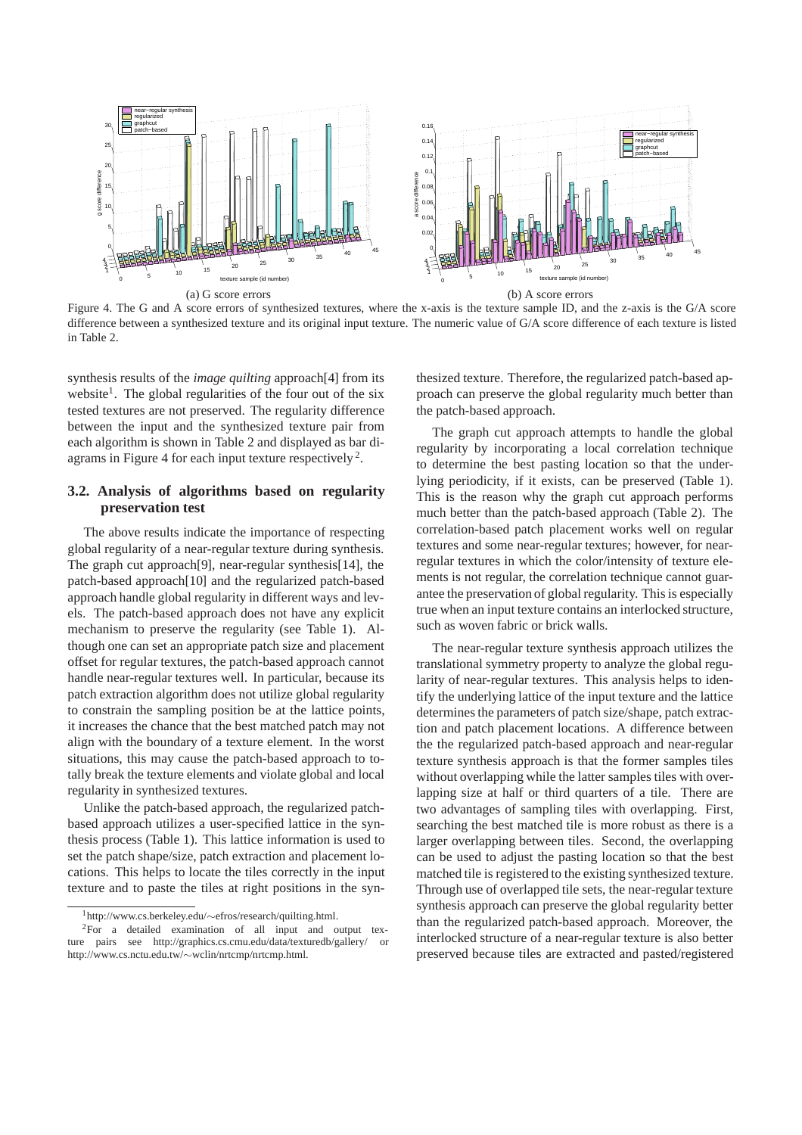

Figure 4. The G and A score errors of synthesized textures, where the x-axis is the texture sample ID, and the z-axis is the G/A score difference between a synthesized texture and its original input texture. The numeric value of G/A score difference of each texture is listed in Table 2.

synthesis results of the *image quilting* approach[4] from its website<sup>1</sup>. The global regularities of the four out of the six tested textures are not preserved. The regularity difference between the input and the synthesized texture pair from each algorithm is shown in Table 2 and displayed as bar diagrams in Figure 4 for each input texture respectively<sup>2</sup>.

## **3.2. Analysis of algorithms based on regularity preservation test**

The above results indicate the importance of respecting global regularity of a near-regular texture during synthesis. The graph cut approach[9], near-regular synthesis[14], the patch-based approach[10] and the regularized patch-based approach handle global regularity in different ways and levels. The patch-based approach does not have any explicit mechanism to preserve the regularity (see Table 1). Although one can set an appropriate patch size and placement offset for regular textures, the patch-based approach cannot handle near-regular textures well. In particular, because its patch extraction algorithm does not utilize global regularity to constrain the sampling position be at the lattice points, it increases the chance that the best matched patch may not align with the boundary of a texture element. In the worst situations, this may cause the patch-based approach to totally break the texture elements and violate global and local regularity in synthesized textures.

Unlike the patch-based approach, the regularized patchbased approach utilizes a user-specified lattice in the synthesis process (Table 1). This lattice information is used to set the patch shape/size, patch extraction and placement locations. This helps to locate the tiles correctly in the input texture and to paste the tiles at right positions in the synthesized texture. Therefore, the regularized patch-based approach can preserve the global regularity much better than the patch-based approach.

The graph cut approach attempts to handle the global regularity by incorporating a local correlation technique to determine the best pasting location so that the underlying periodicity, if it exists, can be preserved (Table 1). This is the reason why the graph cut approach performs much better than the patch-based approach (Table 2). The correlation-based patch placement works well on regular textures and some near-regular textures; however, for nearregular textures in which the color/intensity of texture elements is not regular, the correlation technique cannot guarantee the preservation of global regularity. This is especially true when an input texture contains an interlocked structure, such as woven fabric or brick walls.

The near-regular texture synthesis approach utilizes the translational symmetry property to analyze the global regularity of near-regular textures. This analysis helps to identify the underlying lattice of the input texture and the lattice determines the parameters of patch size/shape, patch extraction and patch placement locations. A difference between the the regularized patch-based approach and near-regular texture synthesis approach is that the former samples tiles without overlapping while the latter samples tiles with overlapping size at half or third quarters of a tile. There are two advantages of sampling tiles with overlapping. First, searching the best matched tile is more robust as there is a larger overlapping between tiles. Second, the overlapping can be used to adjust the pasting location so that the best matched tile is registered to the existing synthesized texture. Through use of overlapped tile sets, the near-regular texture synthesis approach can preserve the global regularity better than the regularized patch-based approach. Moreover, the interlocked structure of a near-regular texture is also better preserved because tiles are extracted and pasted/registered

<sup>1</sup>http://www.cs.berkeley.edu/-efros/research/quilting.html.

<sup>2</sup>For a detailed examination of all input and output texture pairs see http://graphics.cs.cmu.edu/data/texturedb/gallery/ or http://www.cs.nctu.edu.tw/~wclin/nrtcmp/nrtcmp.html.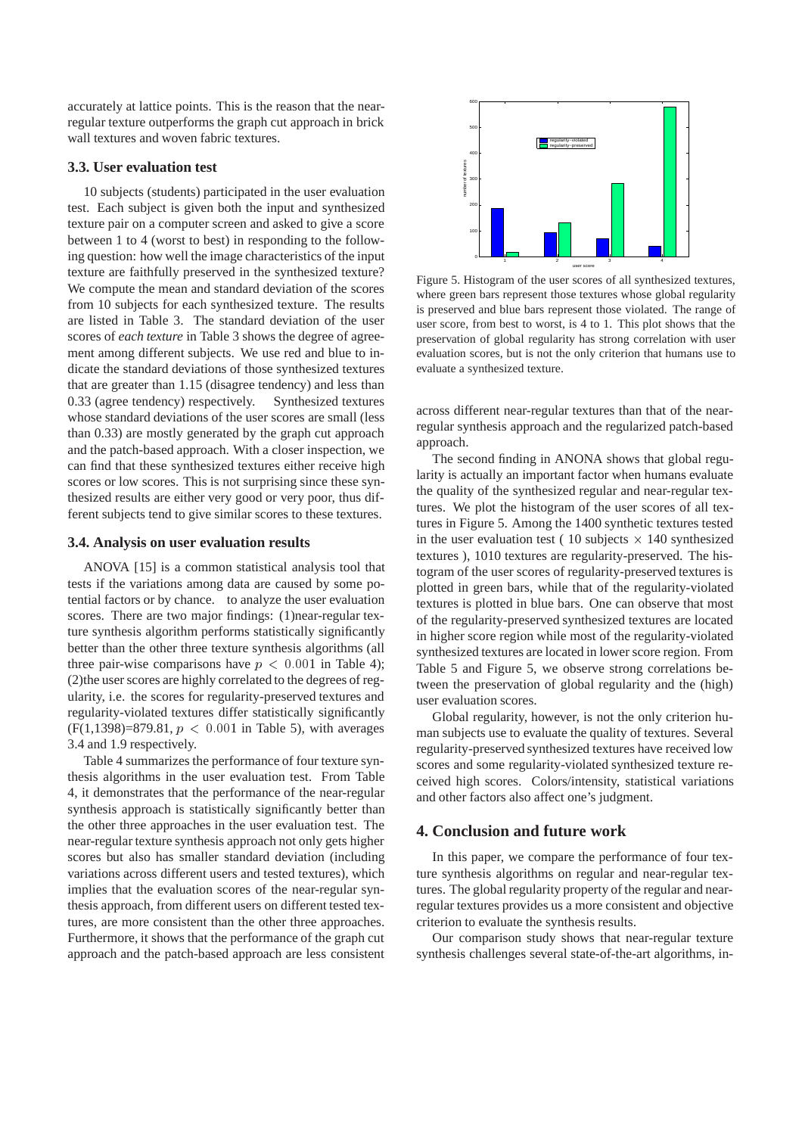accurately at lattice points. This is the reason that the nearregular texture outperforms the graph cut approach in brick wall textures and woven fabric textures.

#### **3.3. User evaluation test**

10 subjects (students) participated in the user evaluation test. Each subject is given both the input and synthesized texture pair on a computer screen and asked to give a score between 1 to 4 (worst to best) in responding to the following question: how well the image characteristics of the input texture are faithfully preserved in the synthesized texture? We compute the mean and standard deviation of the scores from 10 subjects for each synthesized texture. The results are listed in Table 3. The standard deviation of the user scores of *each texture* in Table 3 shows the degree of agreement among different subjects. We use red and blue to indicate the standard deviations of those synthesized textures that are greater than 1.15 (disagree tendency) and less than 0.33 (agree tendency) respectively. Synthesized textures whose standard deviations of the user scores are small (less than 0.33) are mostly generated by the graph cut approach and the patch-based approach. With a closer inspection, we can find that these synthesized textures either receive high scores or low scores. This is not surprising since these synthesized results are either very good or very poor, thus different subjects tend to give similar scores to these textures.

#### **3.4. Analysis on user evaluation results**

ANOVA [15] is a common statistical analysis tool that tests if the variations among data are caused by some potential factors or by chance. to analyze the user evaluation scores. There are two major findings: (1)near-regular texture synthesis algorithm performs statistically significantly better than the other three texture synthesis algorithms (all three pair-wise comparisons have  $p < 0.001$  in Table 4); (2)the user scores are highly correlated to the degrees of regularity, i.e. the scores for regularity-preserved textures and regularity-violated textures differ statistically significantly  $(F(1, 1398)=879.81, p < 0.001$  in Table 5), with averages 3.4 and 1.9 respectively.

Table 4 summarizes the performance of four texture synthesis algorithms in the user evaluation test. From Table 4, it demonstrates that the performance of the near-regular synthesis approach is statistically significantly better than the other three approaches in the user evaluation test. The near-regular texture synthesis approach not only gets higher scores but also has smaller standard deviation (including variations across different users and tested textures), which implies that the evaluation scores of the near-regular synthesis approach, from different users on different tested textures, are more consistent than the other three approaches. Furthermore, it shows that the performance of the graph cut approach and the patch-based approach are less consistent



Figure 5. Histogram of the user scores of all synthesized textures, where green bars represent those textures whose global regularity is preserved and blue bars represent those violated. The range of user score, from best to worst, is 4 to 1. This plot shows that the preservation of global regularity has strong correlation with user evaluation scores, but is not the only criterion that humans use to evaluate a synthesized texture.

across different near-regular textures than that of the nearregular synthesis approach and the regularized patch-based approach.

The second finding in ANONA shows that global regularity is actually an important factor when humans evaluate the quality of the synthesized regular and near-regular textures. We plot the histogram of the user scores of all textures in Figure 5. Among the 1400 synthetic textures tested in the user evaluation test (10 subjects  $\times$  140 synthesized textures ), 1010 textures are regularity-preserved. The histogram of the user scores of regularity-preserved textures is plotted in green bars, while that of the regularity-violated textures is plotted in blue bars. One can observe that most of the regularity-preserved synthesized textures are located in higher score region while most of the regularity-violated synthesized textures are located in lower score region. From Table 5 and Figure 5, we observe strong correlations between the preservation of global regularity and the (high) user evaluation scores.

Global regularity, however, is not the only criterion human subjects use to evaluate the quality of textures. Several regularity-preserved synthesized textures have received low scores and some regularity-violated synthesized texture received high scores. Colors/intensity, statistical variations and other factors also affect one's judgment.

# **4. Conclusion and future work**

In this paper, we compare the performance of four texture synthesis algorithms on regular and near-regular textures. The global regularity property of the regular and nearregular textures provides us a more consistent and objective criterion to evaluate the synthesis results.

Our comparison study shows that near-regular texture synthesis challenges several state-of-the-art algorithms, in-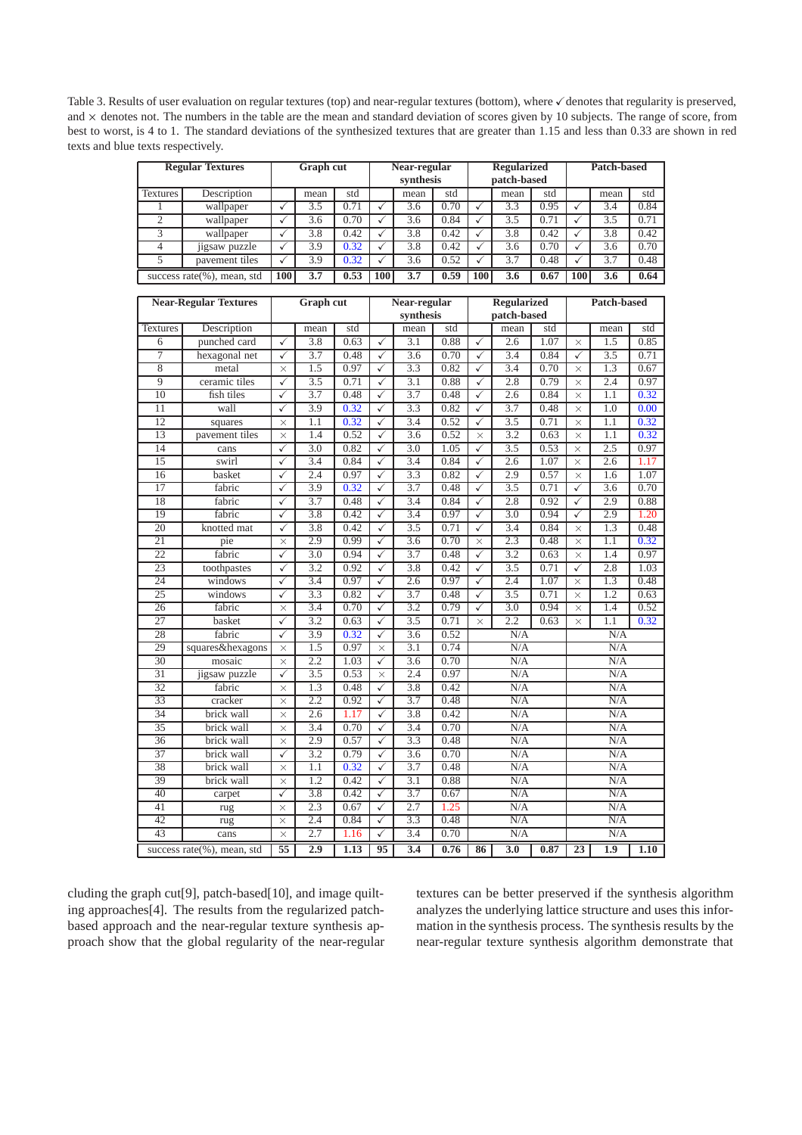Table 3. Results of user evaluation on regular textures (top) and near-regular textures (bottom), where  $\checkmark$  denotes that regularity is preserved, and  $\times$  denotes not. The numbers in the table are the mean and standard deviation of scores given by 10 subjects. The range of score, from best to worst, is 4 to 1. The standard deviations of the synthesized textures that are greater than 1.15 and less than 0.33 are shown in red texts and blue texts respectively.

|                 | <b>Regular Textures</b>          |     | Graph cut |      |     | Near-regular<br>synthesis |      |     | <b>Regularized</b><br>patch-based |      |     | Patch-based |      |
|-----------------|----------------------------------|-----|-----------|------|-----|---------------------------|------|-----|-----------------------------------|------|-----|-------------|------|
| <b>Textures</b> | Description                      |     | mean      | std  |     | mean                      | std  |     | mean                              | std  |     | mean        | std  |
|                 | wallpaper                        |     | 3.5       | 0.71 |     | 3.6                       | 0.70 |     | 3.3                               | 0.95 |     | 3.4         | 0.84 |
|                 | wallpaper                        |     | 3.6       | 0.70 |     | 3.6                       | 0.84 |     | 3.5                               | 0.71 |     | 3.5         | 0.71 |
|                 | wallpaper                        |     | 3.8       | 0.42 |     | 3.8                       | 0.42 |     | 3.8                               | 0.42 |     | 3.8         | 0.42 |
| 4               | jigsaw puzzle                    |     | 3.9       | 0.32 |     | 3.8                       | 0.42 |     | 3.6                               | 0.70 |     | 3.6         | 0.70 |
|                 | payement tiles                   |     | 3.9       | 0.32 |     | 3.6                       | 0.52 |     | 3.7                               | 0.48 |     | 3.7         | 0.48 |
|                 | success rate $(\% )$ , mean, std | 100 | 3.7       | 0.53 | 100 | 3.7                       | 0.59 | 100 | 3.6                               | 0.67 | 100 | 3.6         | 0.64 |
|                 |                                  |     |           |      |     |                           |      |     |                                   |      |     |             |      |

|                 | <b>Near-Regular Textures</b> |                         | <b>Graph</b> cut |      |              | Near-regular     |      |              | <b>Regularized</b> |      |                 | <b>Patch-based</b> |      |
|-----------------|------------------------------|-------------------------|------------------|------|--------------|------------------|------|--------------|--------------------|------|-----------------|--------------------|------|
|                 |                              |                         |                  |      |              | synthesis        |      |              | patch-based        |      |                 |                    |      |
| <b>Textures</b> | Description                  |                         | mean             | std  |              | mean             | std  |              | mean               | std  |                 | mean               | std  |
| 6               | punched card                 | √                       | 3.8              | 0.63 | ✓            | 3.1              | 0.88 | ✓            | 2.6                | 1.07 | $\times$        | 1.5                | 0.85 |
| 7               | hexagonal net                | ✓                       | 3.7              | 0.48 | √            | $\overline{3.6}$ | 0.70 | $\checkmark$ | 3.4                | 0.84 | ✓               | 3.5                | 0.71 |
| $\overline{8}$  | metal                        | $\times$                | 1.5              | 0.97 | ✓            | $\overline{3.3}$ | 0.82 | ✓            | 3.4                | 0.70 | $\times$        | 1.3                | 0.67 |
| $\overline{9}$  | ceramic tiles                | √                       | $\overline{3.5}$ | 0.71 | ✓            | 3.1              | 0.88 | $\checkmark$ | 2.8                | 0.79 | $\times$        | 2.4                | 0.97 |
| 10              | fish tiles                   | ✓                       | $\overline{3.7}$ | 0.48 | ✓            | 3.7              | 0.48 | ✓            | 2.6                | 0.84 | $\times$        | 1.1                | 0.32 |
| $\overline{11}$ | wall                         | √                       | 3.9              | 0.32 | $\checkmark$ | 3.3              | 0.82 | √            | 3.7                | 0.48 | $\times$        | 1.0                | 0.00 |
| 12              | squares                      | $\times$                | 1.1              | 0.32 | √            | 3.4              | 0.52 | √            | 3.5                | 0.71 | $\times$        | 1.1                | 0.32 |
| 13              | pavement tiles               | $\times$                | 1.4              | 0.52 | √            | 3.6              | 0.52 | $\times$     | 3.2                | 0.63 | $\times$        | 1.1                | 0.32 |
| 14              | cans                         | ✓                       | 3.0              | 0.82 | √            | $\overline{3.0}$ | 1.05 | ✓            | 3.5                | 0.53 | $\times$        | 2.5                | 0.97 |
| 15              | swirl                        | ✓                       | 3.4              | 0.84 | $\checkmark$ | $\overline{3.4}$ | 0.84 | √            | 2.6                | 1.07 | $\times$        | 2.6                | 1.17 |
| 16              | basket                       | ✓                       | 2.4              | 0.97 | ✓            | 3.3              | 0.82 | √            | 2.9                | 0.57 | $\times$        | 1.6                | 1.07 |
| 17              | fabric                       | √                       | 3.9              | 0.32 | $\checkmark$ | 3.7              | 0.48 | $\checkmark$ | $\overline{3.5}$   | 0.71 | $\checkmark$    | 3.6                | 0.70 |
| 18              | fabric                       | ✓                       | 3.7              | 0.48 | ✓            | 3.4              | 0.84 | √            | 2.8                | 0.92 | ✓               | 2.9                | 0.88 |
| 19              | fabric                       | √                       | 3.8              | 0.42 | ✓            | 3.4              | 0.97 | √            | 3.0                | 0.94 | √               | 2.9                | 1.20 |
| 20              | knotted mat                  | ✓                       | 3.8              | 0.42 | √            | 3.5              | 0.71 | $\checkmark$ | 3.4                | 0.84 | $\times$        | 1.3                | 0.48 |
| $\overline{21}$ | pie                          | $\times$                | 2.9              | 0.99 | √            | 3.6              | 0.70 | $\times$     | 2.3                | 0.48 | $\times$        | 1.1                | 0.32 |
| $\overline{22}$ | fabric                       | $\sqrt{ }$              | $\overline{3.0}$ | 0.94 | √            | $\overline{3.7}$ | 0.48 | ✓            | $\overline{3.2}$   | 0.63 | $\times$        | 1.4                | 0.97 |
| 23              | toothpastes                  | √                       | 3.2              | 0.92 | ✓            | 3.8              | 0.42 | ✓            | $\overline{3.5}$   | 0.71 | ✓               | 2.8                | 1.03 |
| 24              | windows                      | ✓                       | 3.4              | 0.97 | √            | 2.6              | 0.97 | √            | 2.4                | 1.07 | $\times$        | 1.3                | 0.48 |
| $\overline{25}$ | windows                      | ✓                       | 3.3              | 0.82 | $\checkmark$ | $\overline{3.7}$ | 0.48 | √            | 3.5                | 0.71 | $\times$        | 1.2                | 0.63 |
| 26              | fabric                       | $\times$                | 3.4              | 0.70 | $\checkmark$ | 3.2              | 0.79 | ✓            | 3.0                | 0.94 | $\times$        | 1.4                | 0.52 |
| 27              | basket                       | $\overline{\checkmark}$ | 3.2              | 0.63 | ✓            | $\overline{3.5}$ | 0.71 | $\times$     | 2.2                | 0.63 | $\times$        | 1.1                | 0.32 |
| 28              | fabric                       | √                       | 3.9              | 0.32 | √            | 3.6              | 0.52 |              | N/A                |      |                 | N/A                |      |
| 29              | squares&hexagons             | $\times$                | 1.5              | 0.97 | $\times$     | $\overline{3.1}$ | 0.74 |              | N/A                |      |                 | N/A                |      |
| 30              | mosaic                       | $\times$                | 2.2              | 1.03 | ✓            | $\overline{3.6}$ | 0.70 |              | N/A                |      |                 | N/A                |      |
| $\overline{31}$ | jigsaw puzzle                | ✓                       | $\overline{3.5}$ | 0.53 | $\times$     | 2.4              | 0.97 |              | N/A                |      |                 | N/A                |      |
| $\overline{32}$ | fabric                       | $\times$                | 1.3              | 0.48 | √            | 3.8              | 0.42 |              | N/A                |      |                 | N/A                |      |
| $\overline{33}$ | cracker                      | $\times$                | 2.2              | 0.92 | ✓            | 3.7              | 0.48 |              | N/A                |      |                 | N/A                |      |
| 34              | brick wall                   | $\times$                | 2.6              | 1.17 | $\checkmark$ | 3.8              | 0.42 |              | N/A                |      |                 | N/A                |      |
| $\overline{35}$ | brick wall                   | $\times$                | 3.4              | 0.70 | $\checkmark$ | 3.4              | 0.70 |              | N/A                |      |                 | N/A                |      |
| 36              | brick wall                   | $\times$                | 2.9              | 0.57 | ✓            | 3.3              | 0.48 |              | N/A                |      |                 | N/A                |      |
| 37              | brick wall                   | ✓                       | 3.2              | 0.79 | √            | 3.6              | 0.70 |              | N/A                |      |                 | N/A                |      |
| 38              | brick wall                   | $\times$                | 1.1              | 0.32 | $\checkmark$ | 3.7              | 0.48 |              | N/A                |      |                 | N/A                |      |
| 39              | brick wall                   | $\times$                | 1.2              | 0.42 | $\checkmark$ | $\overline{3.1}$ | 0.88 |              | N/A                |      |                 | N/A                |      |
| 40              | carpet                       | ✓                       | 3.8              | 0.42 | $\checkmark$ | 3.7              | 0.67 |              | N/A                |      |                 | N/A                |      |
| 41              | rug                          | X                       | 2.3              | 0.67 | √            | 2.7              | 1.25 |              | N/A                |      |                 | N/A                |      |
| 42              | rug                          | $\times$                | 2.4              | 0.84 | √            | $\overline{3.3}$ | 0.48 |              | N/A                |      |                 | N/A                |      |
| 43              | cans                         | $\times$                | 2.7              | 1.16 | $\checkmark$ | 3.4              | 0.70 |              | N/A                |      |                 | N/A                |      |
|                 | success rate(%), mean, std   | $\overline{55}$         | 2.9              | 1.13 | 95           | 3.4              | 0.76 | 86           | $\overline{3.0}$   | 0.87 | $\overline{23}$ | $\overline{1.9}$   | 1.10 |

cluding the graph cut[9], patch-based[10], and image quilting approaches[4]. The results from the regularized patchbased approach and the near-regular texture synthesis approach show that the global regularity of the near-regular textures can be better preserved if the synthesis algorithm analyzes the underlying lattice structure and uses this information in the synthesis process. The synthesis results by the near-regular texture synthesis algorithm demonstrate that